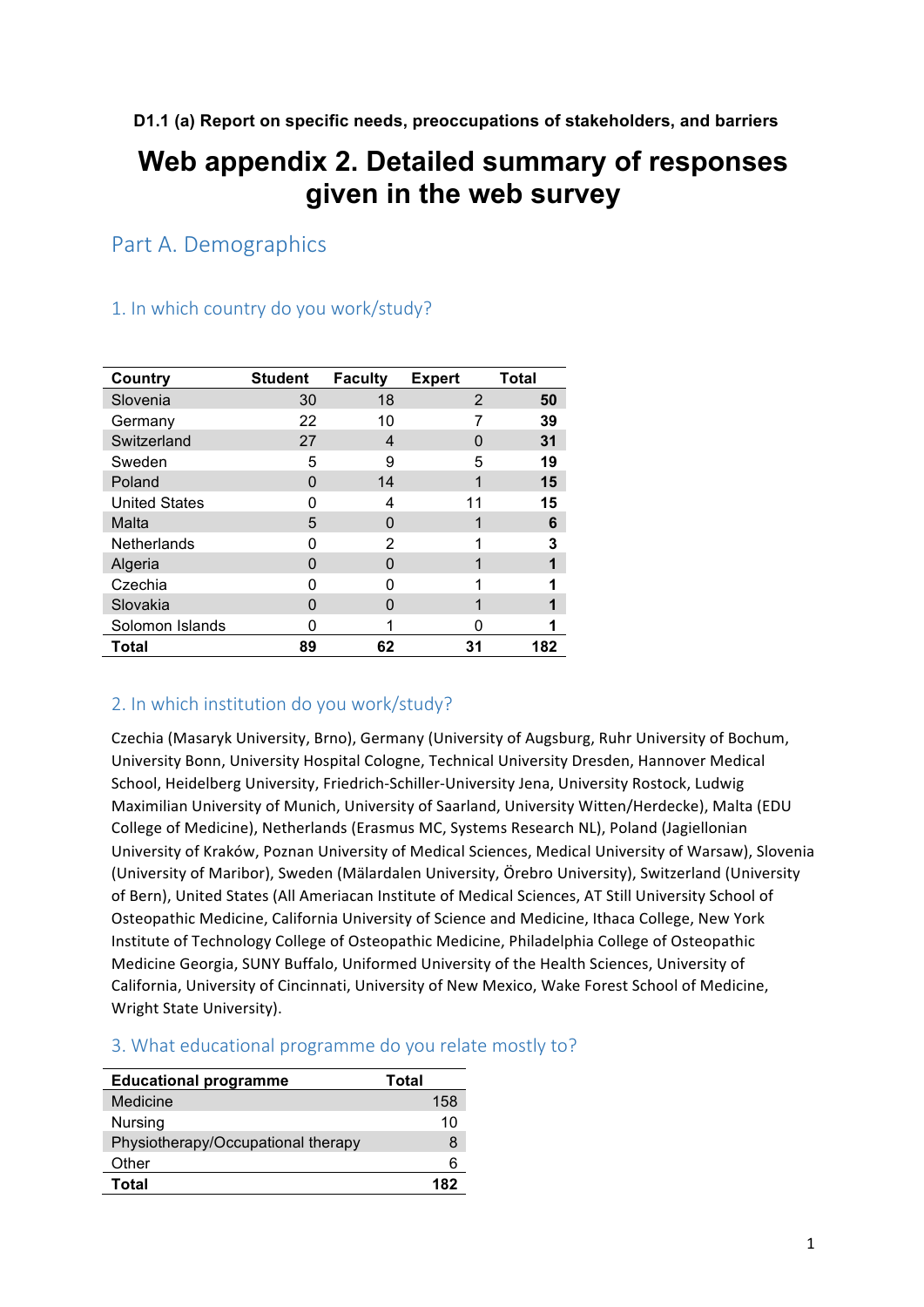**D1.1 (a) Report on specific needs, preoccupations of stakeholders, and barriers**

# **Web appendix 2. Detailed summary of responses given in the web survey**

Part A. Demographics

| 1. In which country do you work/study? |  |
|----------------------------------------|--|
|----------------------------------------|--|

| <b>Country</b>       | <b>Student</b> | <b>Faculty</b> | <b>Expert</b> | <b>Total</b> |
|----------------------|----------------|----------------|---------------|--------------|
| Slovenia             | 30             | 18             | 2             | 50           |
| Germany              | 22             | 10             | 7             | 39           |
| Switzerland          | 27             | 4              | O             | 31           |
| Sweden               | 5              | 9              | 5             | 19           |
| Poland               | 0              | 14             | 1             | 15           |
| <b>United States</b> | ი              | 4              | 11            | 15           |
| Malta                | 5              | 0              |               | 6            |
| Netherlands          | n              | 2              | 1             | 3            |
| Algeria              | O              | 0              | 1             | 1            |
| Czechia              | ი              | n              |               | 1            |
| Slovakia             | O              | 0              | 1             |              |
| Solomon Islands      | O              |                | n             | 1            |
| <b>Total</b>         | 89             | 62             | 31            | 182          |

## 2. In which institution do you work/study?

Czechia (Masaryk University, Brno), Germany (University of Augsburg, Ruhr University of Bochum, University Bonn, University Hospital Cologne, Technical University Dresden, Hannover Medical School, Heidelberg University, Friedrich-Schiller-University Jena, University Rostock, Ludwig Maximilian University of Munich, University of Saarland, University Witten/Herdecke), Malta (EDU College of Medicine), Netherlands (Erasmus MC, Systems Research NL), Poland (Jagiellonian University of Kraków, Poznan University of Medical Sciences, Medical University of Warsaw), Slovenia (University of Maribor), Sweden (Mälardalen University, Örebro University), Switzerland (University of Bern), United States (All Ameriacan Institute of Medical Sciences, AT Still University School of Osteopathic Medicine, California University of Science and Medicine, Ithaca College, New York Institute of Technology College of Osteopathic Medicine, Philadelphia College of Osteopathic Medicine Georgia, SUNY Buffalo, Uniformed University of the Health Sciences, University of California, University of Cincinnati, University of New Mexico, Wake Forest School of Medicine, Wright State University).

| <b>Educational programme</b>       | Total |
|------------------------------------|-------|
| Medicine                           | 158   |
| Nursing                            | 10    |
| Physiotherapy/Occupational therapy | 8     |
| Other                              | հ     |
| Total                              | 182   |

### 3. What educational programme do you relate mostly to?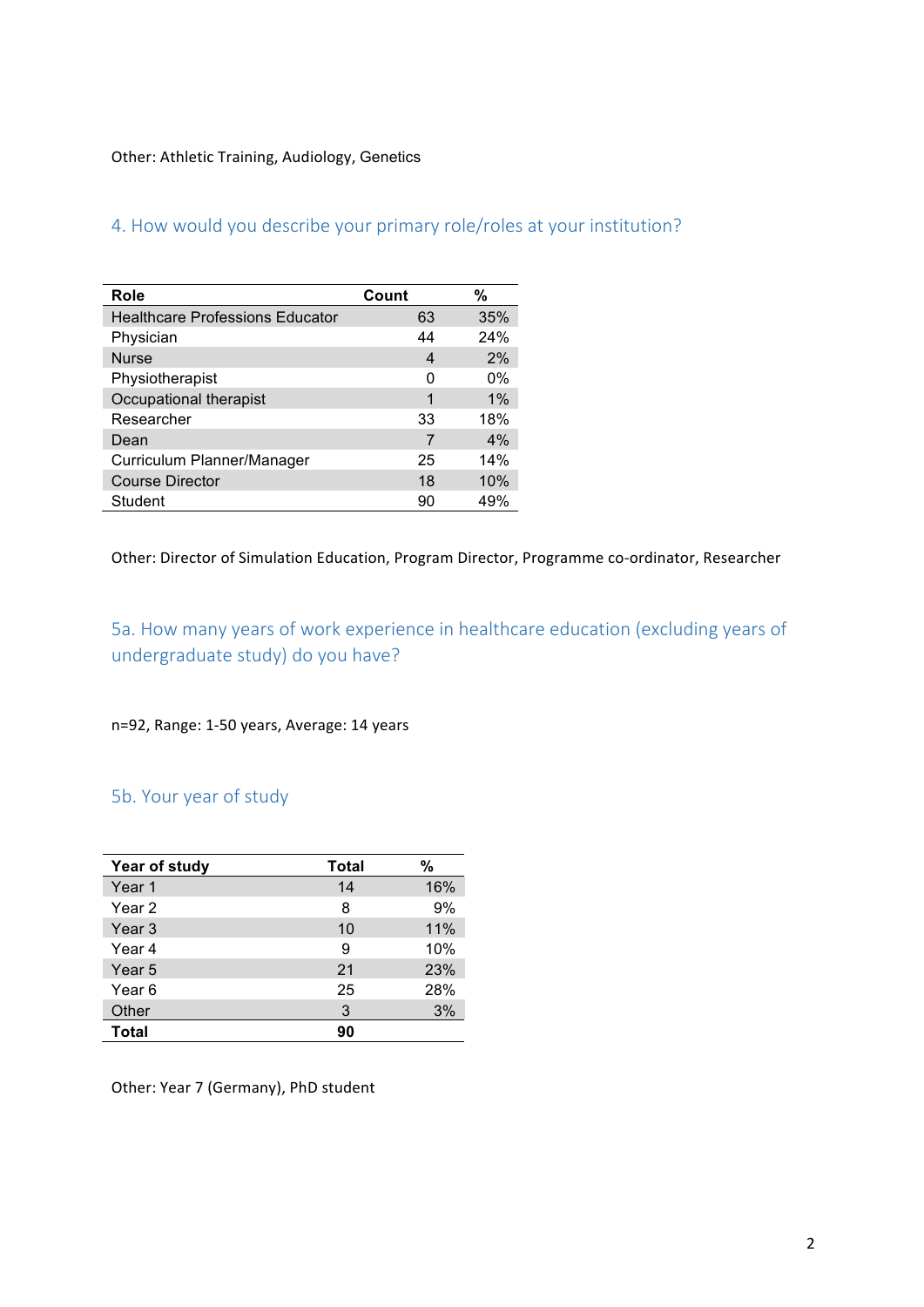#### Other: Athletic Training, Audiology, Genetics

| Role                                   | Count | %     |
|----------------------------------------|-------|-------|
| <b>Healthcare Professions Educator</b> | 63    | 35%   |
| Physician                              | 44    | 24%   |
| <b>Nurse</b>                           | 4     | 2%    |
| Physiotherapist                        | 0     | $0\%$ |
| Occupational therapist                 | 1     | $1\%$ |
| Researcher                             | 33    | 18%   |
| Dean                                   |       | 4%    |
| Curriculum Planner/Manager             | 25    | 14%   |
| <b>Course Director</b>                 | 18    | 10%   |
| Student                                | 90    | 49%   |

## 4. How would you describe your primary role/roles at your institution?

Other: Director of Simulation Education, Program Director, Programme co-ordinator, Researcher

5a. How many years of work experience in healthcare education (excluding years of undergraduate study) do you have?

n=92, Range: 1-50 years, Average: 14 years

## 5b. Your year of study

| Year of study | <b>Total</b> | $\%$ |
|---------------|--------------|------|
| Year 1        | 14           | 16%  |
| Year 2        | 8            | 9%   |
| Year 3        | 10           | 11%  |
| Year 4        | 9            | 10%  |
| Year 5        | 21           | 23%  |
| Year 6        | 25           | 28%  |
| Other         | 3            | 3%   |
| Total         | 90           |      |

Other: Year 7 (Germany), PhD student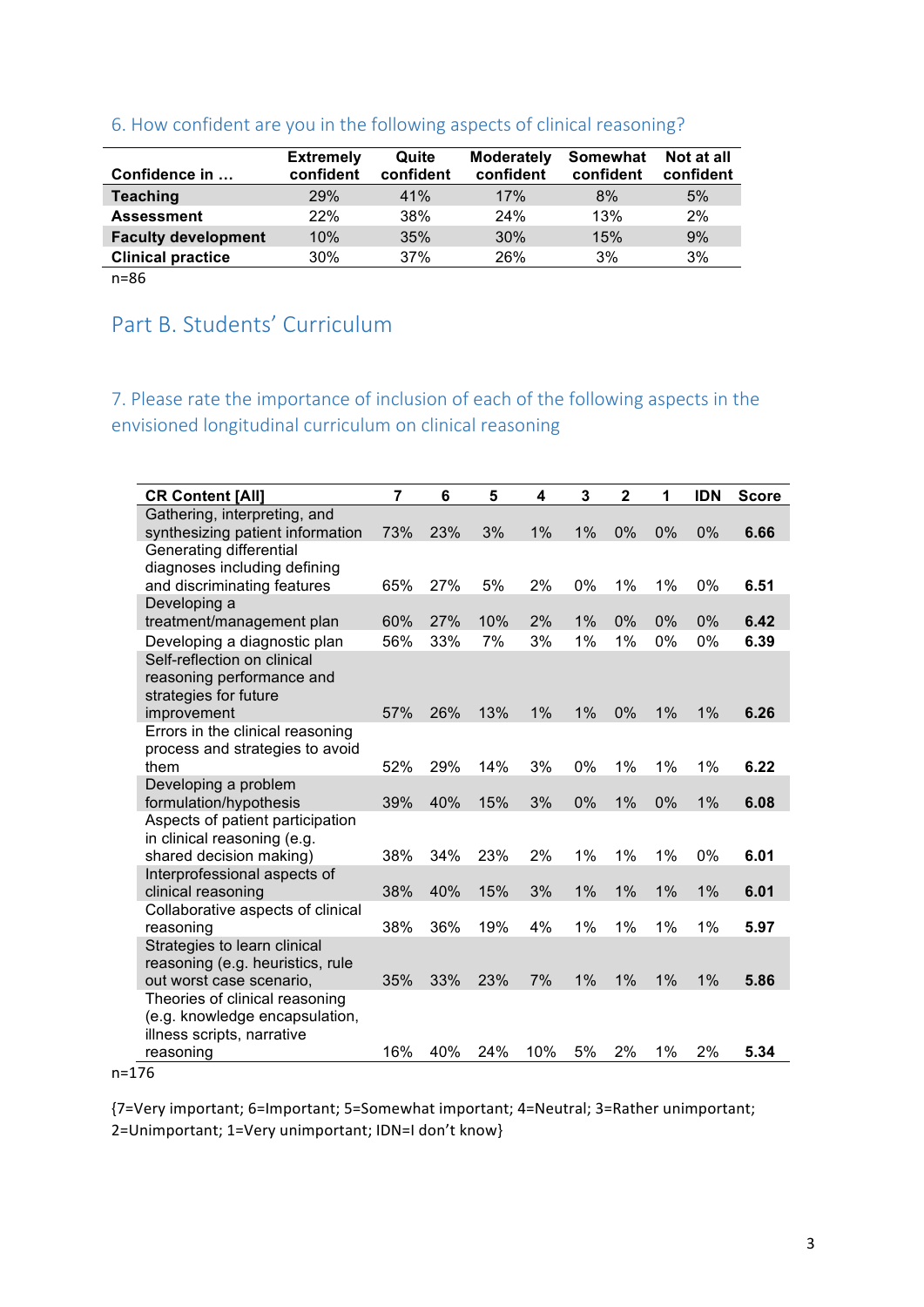| Confidence in              | <b>Extremely</b><br>confident | Quite<br>confident | <b>Moderately</b><br>confident | Somewhat<br>confident | Not at all<br>confident |
|----------------------------|-------------------------------|--------------------|--------------------------------|-----------------------|-------------------------|
| <b>Teaching</b>            | <b>29%</b>                    | 41%                | 17%                            | 8%                    | 5%                      |
| <b>Assessment</b>          | 22%                           | 38%                | 24%                            | 13%                   | 2%                      |
| <b>Faculty development</b> | 10%                           | 35%                | 30%                            | 15%                   | 9%                      |
| <b>Clinical practice</b>   | 30%                           | 37%                | 26%                            | 3%                    | 3%                      |
| $n = 86$                   |                               |                    |                                |                       |                         |

## 6. How confident are you in the following aspects of clinical reasoning?

## Part B. Students' Curriculum

7. Please rate the importance of inclusion of each of the following aspects in the envisioned longitudinal curriculum on clinical reasoning

| <b>CR Content [All]</b>                                      | $\overline{7}$ | 6   | 5   | 4     | 3  | $\overline{\mathbf{2}}$ | 1  | <b>IDN</b> | <b>Score</b> |
|--------------------------------------------------------------|----------------|-----|-----|-------|----|-------------------------|----|------------|--------------|
| Gathering, interpreting, and                                 |                |     |     |       |    |                         |    |            |              |
| synthesizing patient information                             | 73%            | 23% | 3%  | 1%    | 1% | 0%                      | 0% | 0%         | 6.66         |
| Generating differential                                      |                |     |     |       |    |                         |    |            |              |
| diagnoses including defining<br>and discriminating features  | 65%            | 27% | 5%  | 2%    | 0% | 1%                      | 1% | 0%         | 6.51         |
| Developing a                                                 |                |     |     |       |    |                         |    |            |              |
| treatment/management plan                                    | 60%            | 27% | 10% | 2%    | 1% | 0%                      | 0% | 0%         | 6.42         |
| Developing a diagnostic plan                                 | 56%            | 33% | 7%  | 3%    | 1% | 1%                      | 0% | 0%         | 6.39         |
| Self-reflection on clinical                                  |                |     |     |       |    |                         |    |            |              |
| reasoning performance and                                    |                |     |     |       |    |                         |    |            |              |
| strategies for future                                        |                |     |     |       |    |                         |    |            |              |
| improvement                                                  | 57%            | 26% | 13% | $1\%$ | 1% | 0%                      | 1% | 1%         | 6.26         |
| Errors in the clinical reasoning                             |                |     |     |       |    |                         |    |            |              |
| process and strategies to avoid                              |                |     |     |       |    |                         |    |            |              |
| them                                                         | 52%            | 29% | 14% | 3%    | 0% | 1%                      | 1% | 1%         | 6.22         |
| Developing a problem<br>formulation/hypothesis               | 39%            | 40% | 15% | 3%    | 0% | 1%                      | 0% | 1%         | 6.08         |
| Aspects of patient participation                             |                |     |     |       |    |                         |    |            |              |
| in clinical reasoning (e.g.                                  |                |     |     |       |    |                         |    |            |              |
| shared decision making)                                      | 38%            | 34% | 23% | 2%    | 1% | 1%                      | 1% | 0%         | 6.01         |
| Interprofessional aspects of                                 |                |     |     |       |    |                         |    |            |              |
| clinical reasoning                                           | 38%            | 40% | 15% | 3%    | 1% | 1%                      | 1% | 1%         | 6.01         |
| Collaborative aspects of clinical                            |                |     |     |       |    |                         |    |            |              |
| reasoning                                                    | 38%            | 36% | 19% | 4%    | 1% | 1%                      | 1% | 1%         | 5.97         |
| Strategies to learn clinical                                 |                |     |     |       |    |                         |    |            |              |
| reasoning (e.g. heuristics, rule<br>out worst case scenario, | 35%            | 33% | 23% | 7%    | 1% | 1%                      | 1% | 1%         | 5.86         |
| Theories of clinical reasoning                               |                |     |     |       |    |                         |    |            |              |
| (e.g. knowledge encapsulation,                               |                |     |     |       |    |                         |    |            |              |
| illness scripts, narrative                                   |                |     |     |       |    |                         |    |            |              |
| reasoning                                                    | 16%            | 40% | 24% | 10%   | 5% | 2%                      | 1% | 2%         | 5.34         |

n=176

{7=Very important; 6=Important; 5=Somewhat important; 4=Neutral; 3=Rather unimportant; 2=Unimportant; 1=Very unimportant; IDN=I don't know}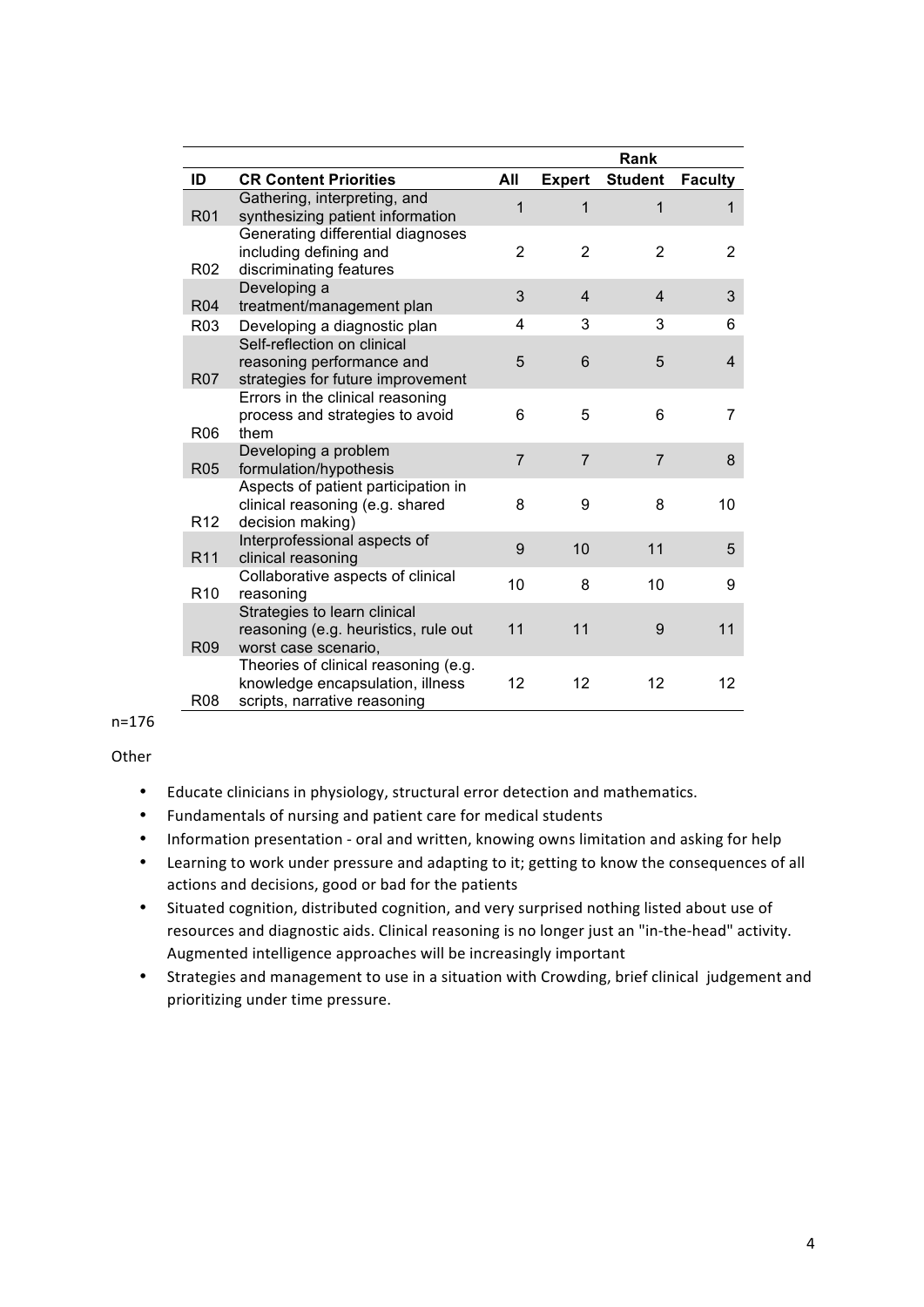|                 |                                                                                                          |                |                | Rank           |                |
|-----------------|----------------------------------------------------------------------------------------------------------|----------------|----------------|----------------|----------------|
| ID              | <b>CR Content Priorities</b>                                                                             | All            | <b>Expert</b>  | <b>Student</b> | <b>Faculty</b> |
| R01             | Gathering, interpreting, and<br>synthesizing patient information<br>Generating differential diagnoses    | 1              | 1              | 1              | 1              |
| R <sub>02</sub> | including defining and<br>discriminating features                                                        | $\overline{2}$ | $\overline{2}$ | $\overline{2}$ | 2              |
| <b>R04</b>      | Developing a<br>treatment/management plan                                                                | 3              | $\overline{4}$ | $\overline{4}$ | 3              |
| R <sub>03</sub> | Developing a diagnostic plan                                                                             | 4              | 3              | 3              | 6              |
| <b>R07</b>      | Self-reflection on clinical<br>reasoning performance and<br>strategies for future improvement            | 5              | 6              | 5              | 4              |
| <b>R06</b>      | Errors in the clinical reasoning<br>process and strategies to avoid<br>them                              | 6              | 5              | 6              | 7              |
| <b>R05</b>      | Developing a problem<br>formulation/hypothesis                                                           | $\overline{7}$ | $\overline{7}$ | $\overline{7}$ | 8              |
| R <sub>12</sub> | Aspects of patient participation in<br>clinical reasoning (e.g. shared<br>decision making)               | 8              | 9              | 8              | 10             |
| R <sub>11</sub> | Interprofessional aspects of<br>clinical reasoning                                                       | 9              | 10             | 11             | 5              |
| R <sub>10</sub> | Collaborative aspects of clinical<br>reasoning                                                           | 10             | 8              | 10             | 9              |
| R <sub>09</sub> | Strategies to learn clinical<br>reasoning (e.g. heuristics, rule out<br>worst case scenario,             | 11             | 11             | 9              | 11             |
| R <sub>08</sub> | Theories of clinical reasoning (e.g.<br>knowledge encapsulation, illness<br>scripts, narrative reasoning | 12             | 12             | 12             | 12             |

n=176

Other

- Educate clinicians in physiology, structural error detection and mathematics.
- Fundamentals of nursing and patient care for medical students
- Information presentation oral and written, knowing owns limitation and asking for help
- Learning to work under pressure and adapting to it; getting to know the consequences of all actions and decisions, good or bad for the patients
- Situated cognition, distributed cognition, and very surprised nothing listed about use of resources and diagnostic aids. Clinical reasoning is no longer just an "in-the-head" activity. Augmented intelligence approaches will be increasingly important
- Strategies and management to use in a situation with Crowding, brief clinical judgement and prioritizing under time pressure.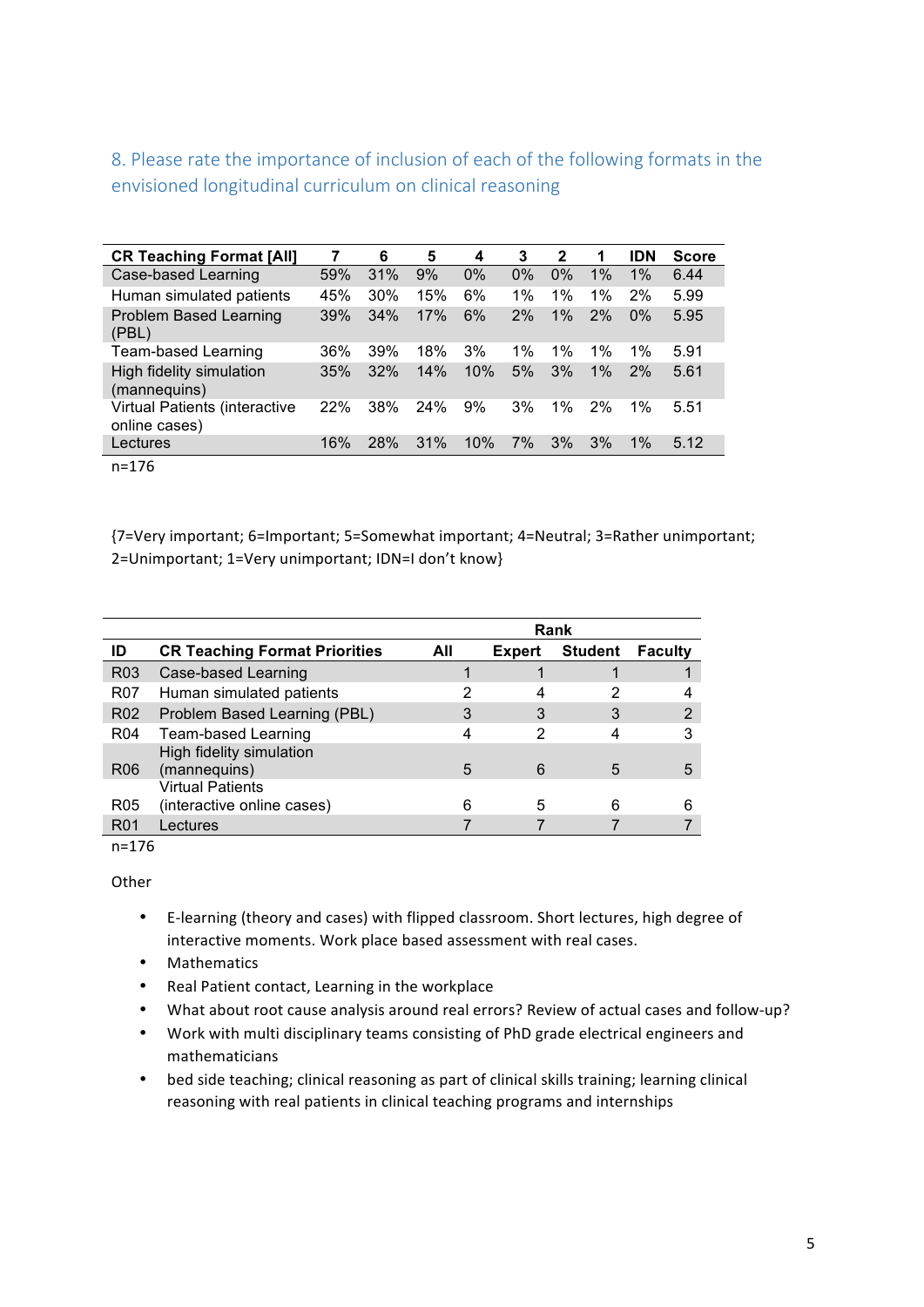8. Please rate the importance of inclusion of each of the following formats in the envisioned longitudinal curriculum on clinical reasoning

| <b>CR Teaching Format [All]</b>                | 7   | 6   | 5   | 4   | 3     | 2  | 1     | <b>IDN</b> | <b>Score</b> |
|------------------------------------------------|-----|-----|-----|-----|-------|----|-------|------------|--------------|
| Case-based Learning                            | 59% | 31% | 9%  | 0%  | 0%    | 0% | 1%    | 1%         | 6.44         |
| Human simulated patients                       | 45% | 30% | 15% | 6%  | $1\%$ | 1% | $1\%$ | 2%         | 5.99         |
| <b>Problem Based Learning</b><br>(PBL)         | 39% | 34% | 17% | 6%  | 2%    | 1% | 2%    | $0\%$      | 5.95         |
| <b>Team-based Learning</b>                     | 36% | 39% | 18% | 3%  | $1\%$ | 1% | $1\%$ | $1\%$      | 5.91         |
| High fidelity simulation<br>(mannequins)       | 35% | 32% | 14% | 10% | 5%    | 3% | 1%    | 2%         | 5.61         |
| Virtual Patients (interactive<br>online cases) | 22% | 38% | 24% | 9%  | 3%    | 1% | 2%    | 1%         | 5.51         |
| Lectures                                       | 16% | 28% | 31% | 10% | 7%    | 3% | 3%    | $1\%$      | 5.12         |

n=176

{7=Very important; 6=Important; 5=Somewhat important; 4=Neutral; 3=Rather unimportant; 2=Unimportant; 1=Very unimportant; IDN=I don't know}

|                 |                                                       | <b>Rank</b> |               |                |                |  |
|-----------------|-------------------------------------------------------|-------------|---------------|----------------|----------------|--|
| ID              | <b>CR Teaching Format Priorities</b>                  | All         | <b>Expert</b> | <b>Student</b> | <b>Faculty</b> |  |
| R <sub>03</sub> | Case-based Learning                                   |             |               |                |                |  |
| R07             | Human simulated patients                              | 2           | 4             | 2              |                |  |
| R <sub>02</sub> | Problem Based Learning (PBL)                          | 3           | 3             | 3              |                |  |
| R <sub>04</sub> | Team-based Learning                                   | 4           | 2             | 4              | 3              |  |
| R <sub>06</sub> | High fidelity simulation<br>(mannequins)              | 5           | 6             | 5              | 5              |  |
| R <sub>05</sub> | <b>Virtual Patients</b><br>(interactive online cases) | ่ค          | 5             | 6              |                |  |
| R <sub>01</sub> | Lectures                                              |             |               |                |                |  |

n=176

**Other** 

- E-learning (theory and cases) with flipped classroom. Short lectures, high degree of interactive moments. Work place based assessment with real cases.
- Mathematics
- Real Patient contact, Learning in the workplace
- What about root cause analysis around real errors? Review of actual cases and follow-up?
- Work with multi disciplinary teams consisting of PhD grade electrical engineers and mathematicians
- bed side teaching; clinical reasoning as part of clinical skills training; learning clinical reasoning with real patients in clinical teaching programs and internships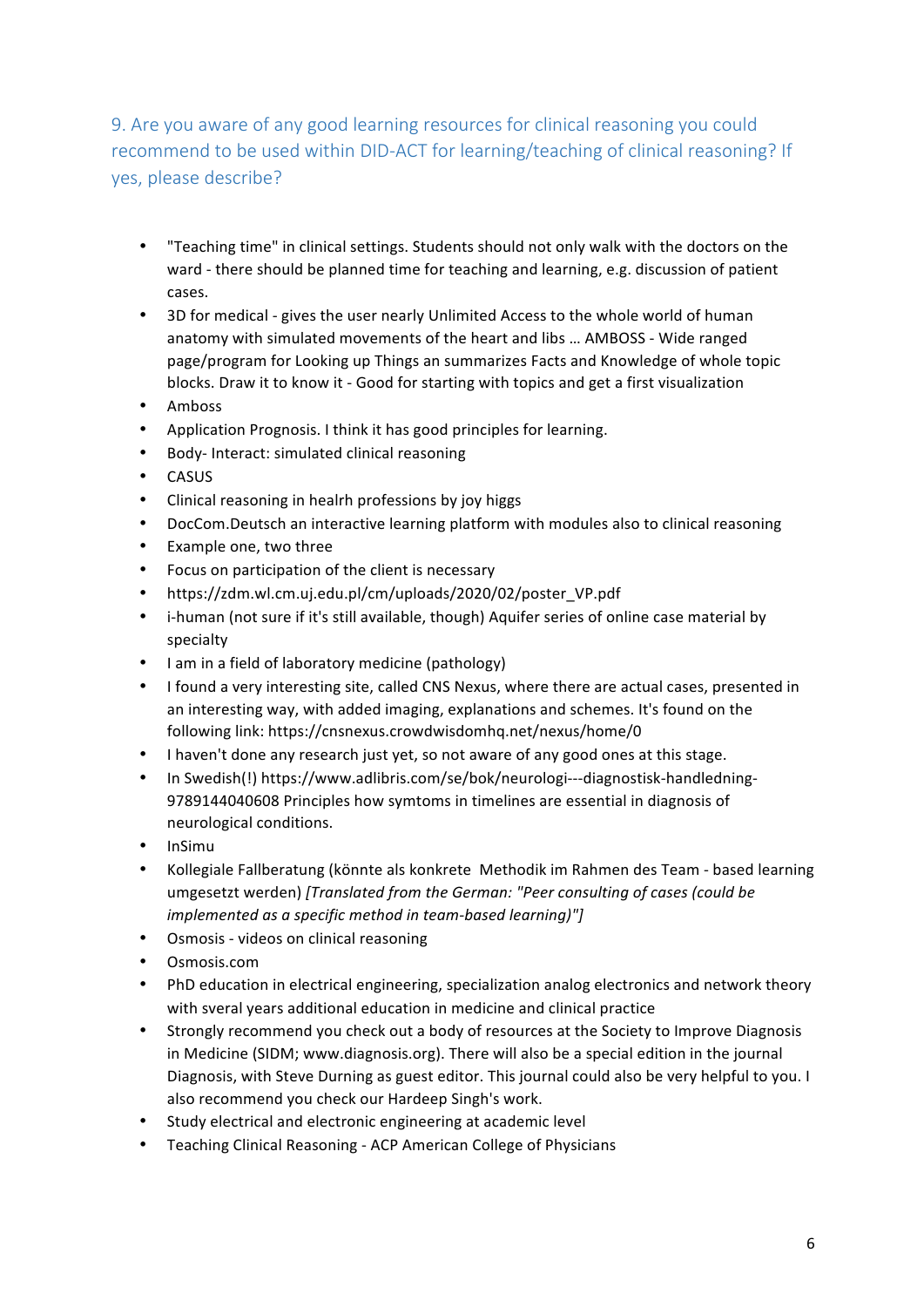## 9. Are you aware of any good learning resources for clinical reasoning you could recommend to be used within DID-ACT for learning/teaching of clinical reasoning? If yes, please describe?

- "Teaching time" in clinical settings. Students should not only walk with the doctors on the ward - there should be planned time for teaching and learning, e.g. discussion of patient cases.
- 3D for medical gives the user nearly Unlimited Access to the whole world of human anatomy with simulated movements of the heart and libs ... AMBOSS - Wide ranged page/program for Looking up Things an summarizes Facts and Knowledge of whole topic blocks. Draw it to know it - Good for starting with topics and get a first visualization
- Amboss
- Application Prognosis. I think it has good principles for learning.
- Body- Interact: simulated clinical reasoning
- CASUS
- Clinical reasoning in healrh professions by joy higgs
- DocCom.Deutsch an interactive learning platform with modules also to clinical reasoning
- Example one, two three
- Focus on participation of the client is necessary
- https://zdm.wl.cm.uj.edu.pl/cm/uploads/2020/02/poster\_VP.pdf
- i-human (not sure if it's still available, though) Aquifer series of online case material by specialty
- I am in a field of laboratory medicine (pathology)
- I found a very interesting site, called CNS Nexus, where there are actual cases, presented in an interesting way, with added imaging, explanations and schemes. It's found on the following link: https://cnsnexus.crowdwisdomhq.net/nexus/home/0
- I haven't done any research just yet, so not aware of any good ones at this stage.
- In Swedish(!) https://www.adlibris.com/se/bok/neurologi---diagnostisk-handledning-9789144040608 Principles how symtoms in timelines are essential in diagnosis of neurological conditions.
- InSimu
- Kollegiale Fallberatung (könnte als konkrete Methodik im Rahmen des Team based learning umgesetzt werden) *[Translated from the German: "Peer consulting of cases (could be implemented as a specific method in team-based learning)"]*
- Osmosis videos on clinical reasoning
- Osmosis.com
- PhD education in electrical engineering, specialization analog electronics and network theory with sveral years additional education in medicine and clinical practice
- Strongly recommend you check out a body of resources at the Society to Improve Diagnosis in Medicine (SIDM; www.diagnosis.org). There will also be a special edition in the journal Diagnosis, with Steve Durning as guest editor. This journal could also be very helpful to you. I also recommend you check our Hardeep Singh's work.
- Study electrical and electronic engineering at academic level
- Teaching Clinical Reasoning ACP American College of Physicians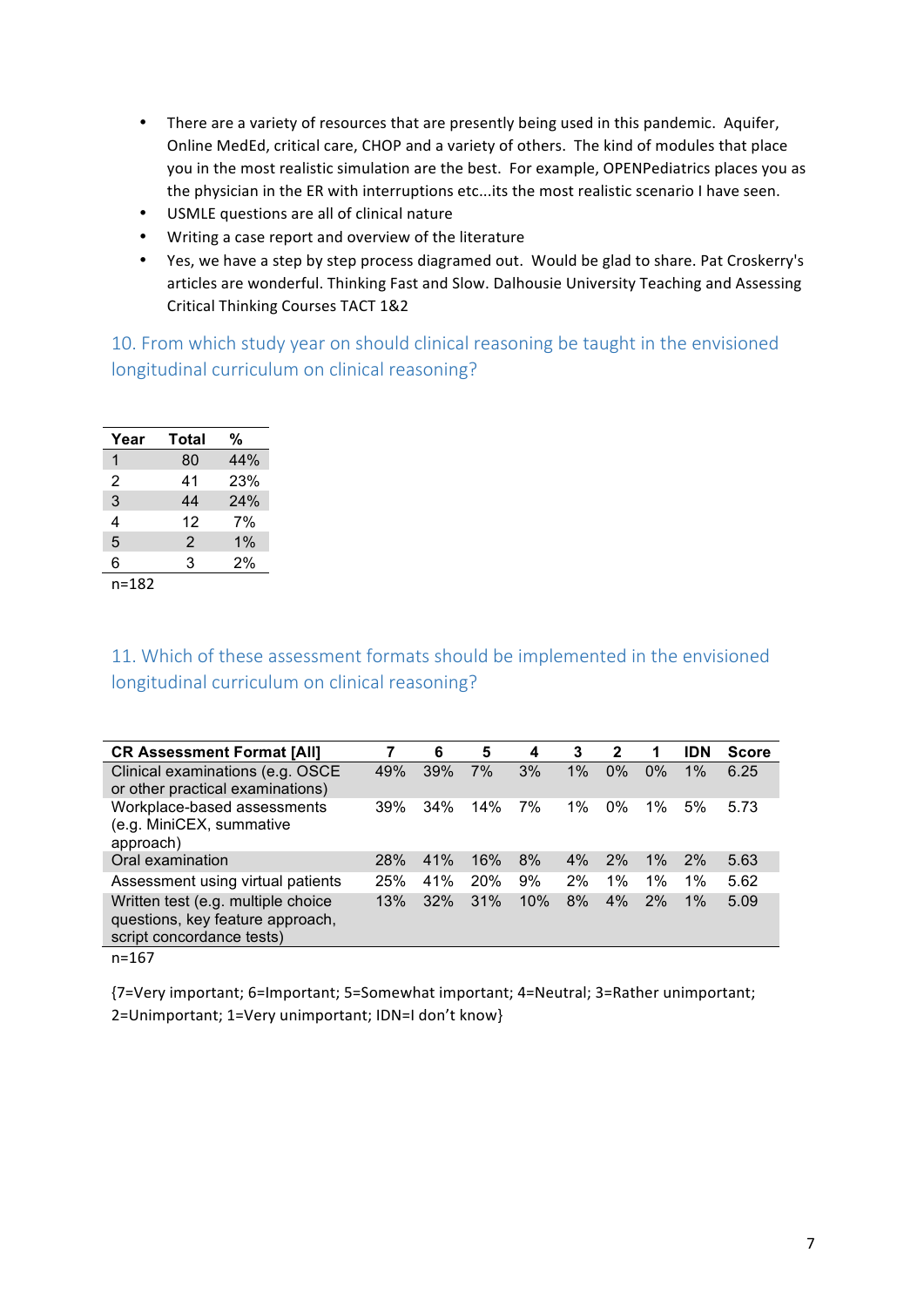- There are a variety of resources that are presently being used in this pandemic. Aquifer, Online MedEd, critical care, CHOP and a variety of others. The kind of modules that place you in the most realistic simulation are the best. For example, OPENPediatrics places you as the physician in the ER with interruptions etc...its the most realistic scenario I have seen.
- USMLE questions are all of clinical nature
- Writing a case report and overview of the literature
- Yes, we have a step by step process diagramed out. Would be glad to share. Pat Croskerry's articles are wonderful. Thinking Fast and Slow. Dalhousie University Teaching and Assessing Critical Thinking Courses TACT 1&2

10. From which study year on should clinical reasoning be taught in the envisioned longitudinal curriculum on clinical reasoning?

| Year      | Total | %   |
|-----------|-------|-----|
| 1         | 80    | 44% |
| 2         | 41    | 23% |
| 3         | 44    | 24% |
| 4         | 12    | 7%  |
| 5         | 2     | 1%  |
| 6         | 3     | 2%  |
| $n = 182$ |       |     |

## 11. Which of these assessment formats should be implemented in the envisioned longitudinal curriculum on clinical reasoning?

| <b>CR Assessment Format [All]</b>                                                                   |     | 6   | 5   | 4   | 3     | 2     | 1     | <b>IDN</b> | <b>Score</b> |
|-----------------------------------------------------------------------------------------------------|-----|-----|-----|-----|-------|-------|-------|------------|--------------|
| Clinical examinations (e.g. OSCE<br>or other practical examinations)                                | 49% | 39% | 7%  | 3%  | $1\%$ | $0\%$ | $0\%$ | 1%         | 6.25         |
| Workplace-based assessments<br>(e.g. MiniCEX, summative<br>approach)                                | 39% | 34% | 14% | 7%  | 1%    | $0\%$ | $1\%$ | 5%         | 5.73         |
| Oral examination                                                                                    | 28% | 41% | 16% | 8%  | 4%    | 2%    | $1\%$ | 2%         | 5.63         |
| Assessment using virtual patients                                                                   | 25% | 41% | 20% | 9%  | 2%    | $1\%$ | $1\%$ | $1\%$      | 5.62         |
| Written test (e.g. multiple choice<br>questions, key feature approach,<br>script concordance tests) | 13% | 32% | 31% | 10% | 8%    | 4%    | 2%    | $1\%$      | 5.09         |

n=167

{7=Very important; 6=Important; 5=Somewhat important; 4=Neutral; 3=Rather unimportant; 2=Unimportant; 1=Very unimportant; IDN=I don't know}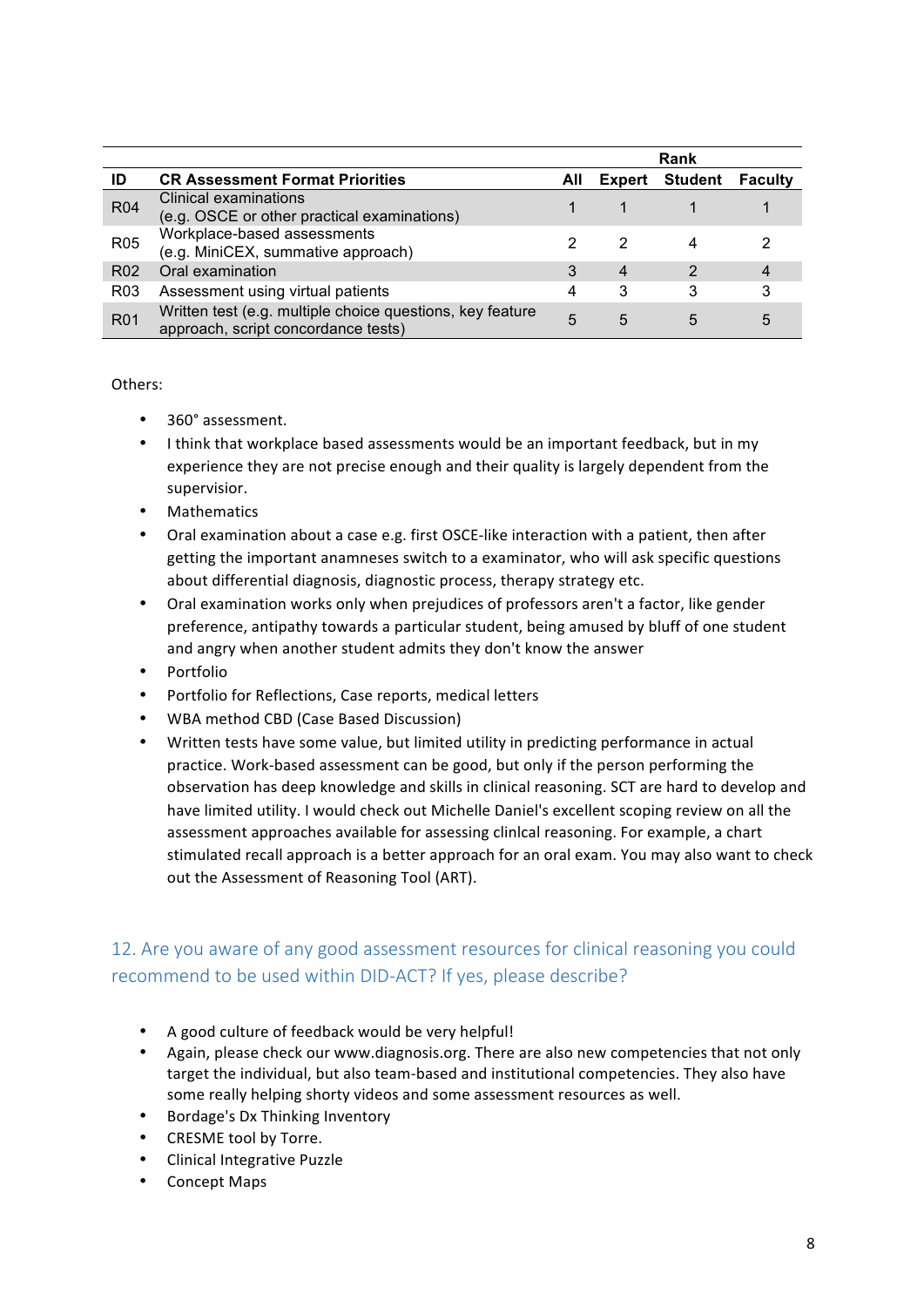|                 |                                                                                                  |     |        | Rank           |                |
|-----------------|--------------------------------------------------------------------------------------------------|-----|--------|----------------|----------------|
| ID              | <b>CR Assessment Format Priorities</b>                                                           | All | Expert | <b>Student</b> | <b>Faculty</b> |
| <b>R04</b>      | Clinical examinations<br>(e.g. OSCE or other practical examinations)                             |     |        |                |                |
| R <sub>05</sub> | Workplace-based assessments<br>(e.g. MiniCEX, summative approach)                                |     |        |                |                |
| R <sub>02</sub> | Oral examination                                                                                 | 3   | 4      | 2              | 4              |
| R <sub>03</sub> | Assessment using virtual patients                                                                | 4   | 3      | 3              |                |
| <b>R01</b>      | Written test (e.g. multiple choice questions, key feature<br>approach, script concordance tests) | 5   | 5      | 5              | 5              |

Others:

- 360° assessment.
- I think that workplace based assessments would be an important feedback, but in my experience they are not precise enough and their quality is largely dependent from the supervisior.
- **Mathematics**
- Oral examination about a case e.g. first OSCE-like interaction with a patient, then after getting the important anamneses switch to a examinator, who will ask specific questions about differential diagnosis, diagnostic process, therapy strategy etc.
- Oral examination works only when prejudices of professors aren't a factor, like gender preference, antipathy towards a particular student, being amused by bluff of one student and angry when another student admits they don't know the answer
- Portfolio
- Portfolio for Reflections, Case reports, medical letters
- WBA method CBD (Case Based Discussion)
- Written tests have some value, but limited utility in predicting performance in actual practice. Work-based assessment can be good, but only if the person performing the observation has deep knowledge and skills in clinical reasoning. SCT are hard to develop and have limited utility. I would check out Michelle Daniel's excellent scoping review on all the assessment approaches available for assessing clinical reasoning. For example, a chart stimulated recall approach is a better approach for an oral exam. You may also want to check out the Assessment of Reasoning Tool (ART).

## 12. Are you aware of any good assessment resources for clinical reasoning you could recommend to be used within DID-ACT? If yes, please describe?

- A good culture of feedback would be very helpful!
- Again, please check our www.diagnosis.org. There are also new competencies that not only target the individual, but also team-based and institutional competencies. They also have some really helping shorty videos and some assessment resources as well.
- Bordage's Dx Thinking Inventory
- CRESME tool by Torre.
- Clinical Integrative Puzzle
- Concept Maps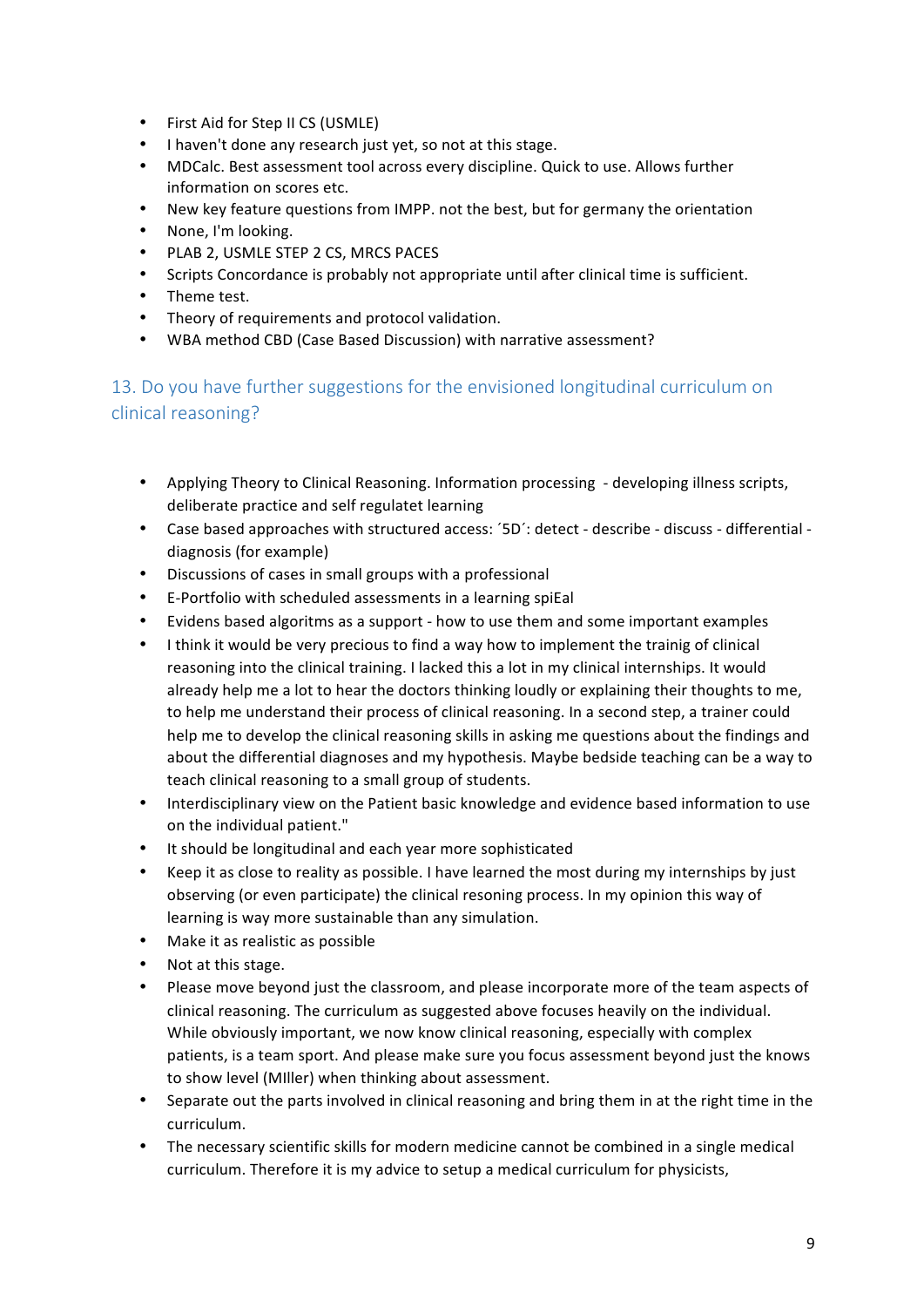- First Aid for Step II CS (USMLE)
- I haven't done any research just yet, so not at this stage.
- MDCalc. Best assessment tool across every discipline. Quick to use. Allows further information on scores etc.
- New key feature questions from IMPP. not the best, but for germany the orientation
- None, I'm looking.
- PLAB 2, USMLE STEP 2 CS, MRCS PACES
- Scripts Concordance is probably not appropriate until after clinical time is sufficient.
- Theme test.
- Theory of requirements and protocol validation.
- WBA method CBD (Case Based Discussion) with narrative assessment?

13. Do you have further suggestions for the envisioned longitudinal curriculum on clinical reasoning?

- Applying Theory to Clinical Reasoning. Information processing developing illness scripts, deliberate practice and self regulatet learning
- Case based approaches with structured access: '5D': detect describe discuss differential diagnosis (for example)
- Discussions of cases in small groups with a professional
- E-Portfolio with scheduled assessments in a learning spiEal
- Evidens based algoritms as a support how to use them and some important examples
- I think it would be very precious to find a way how to implement the trainig of clinical reasoning into the clinical training. I lacked this a lot in my clinical internships. It would already help me a lot to hear the doctors thinking loudly or explaining their thoughts to me, to help me understand their process of clinical reasoning. In a second step, a trainer could help me to develop the clinical reasoning skills in asking me questions about the findings and about the differential diagnoses and my hypothesis. Maybe bedside teaching can be a way to teach clinical reasoning to a small group of students.
- Interdisciplinary view on the Patient basic knowledge and evidence based information to use on the individual patient."
- It should be longitudinal and each year more sophisticated
- Keep it as close to reality as possible. I have learned the most during my internships by just observing (or even participate) the clinical resoning process. In my opinion this way of learning is way more sustainable than any simulation.
- Make it as realistic as possible
- Not at this stage.
- Please move beyond just the classroom, and please incorporate more of the team aspects of clinical reasoning. The curriculum as suggested above focuses heavily on the individual. While obviously important, we now know clinical reasoning, especially with complex patients, is a team sport. And please make sure you focus assessment beyond just the knows to show level (MIller) when thinking about assessment.
- Separate out the parts involved in clinical reasoning and bring them in at the right time in the curriculum.
- The necessary scientific skills for modern medicine cannot be combined in a single medical curriculum. Therefore it is my advice to setup a medical curriculum for physicists,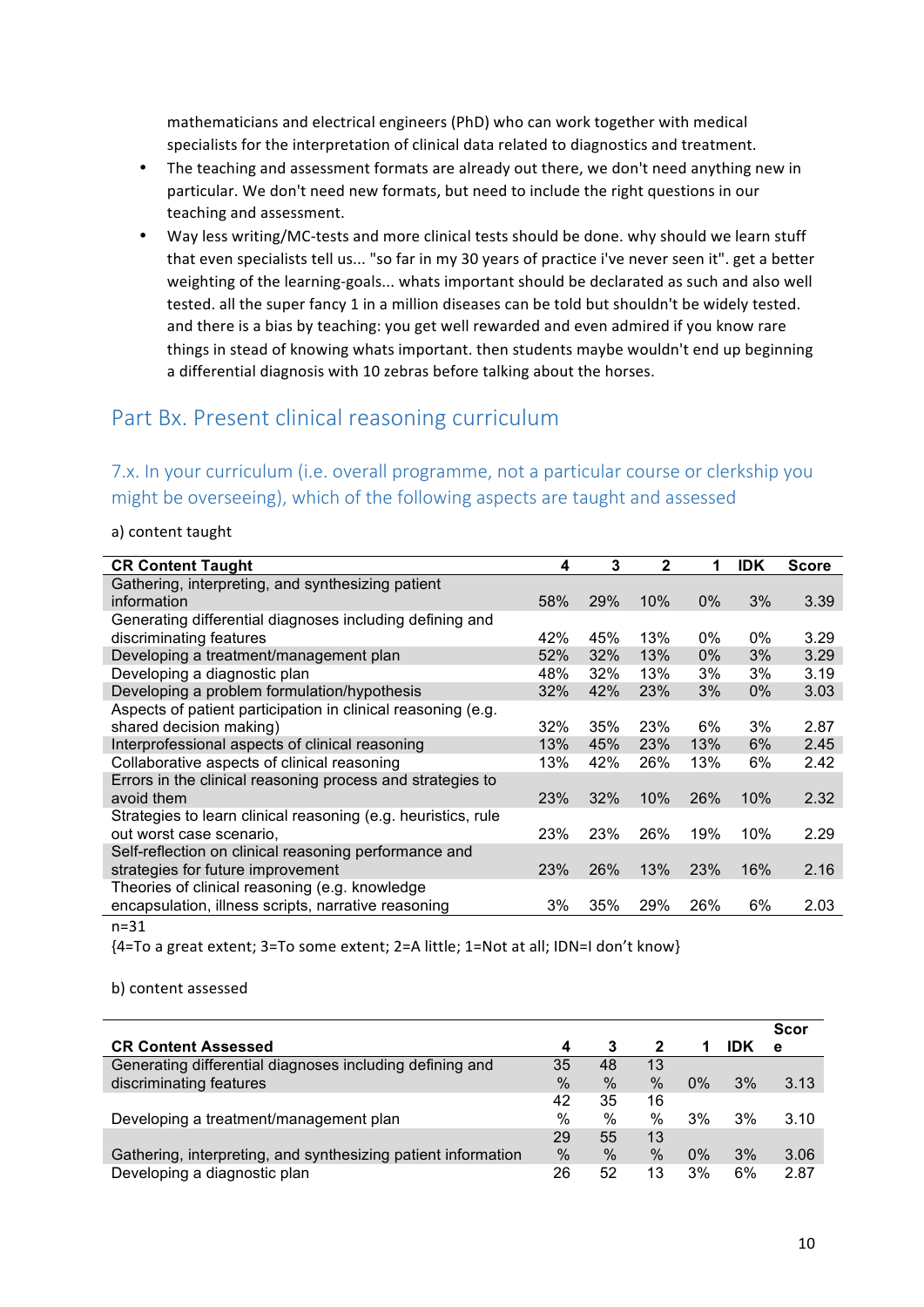mathematicians and electrical engineers (PhD) who can work together with medical specialists for the interpretation of clinical data related to diagnostics and treatment.

- The teaching and assessment formats are already out there, we don't need anything new in particular. We don't need new formats, but need to include the right questions in our teaching and assessment.
- Way less writing/MC-tests and more clinical tests should be done. why should we learn stuff that even specialists tell us... "so far in my 30 years of practice i've never seen it". get a better weighting of the learning-goals... whats important should be declarated as such and also well tested. all the super fancy 1 in a million diseases can be told but shouldn't be widely tested. and there is a bias by teaching: you get well rewarded and even admired if you know rare things in stead of knowing whats important. then students maybe wouldn't end up beginning a differential diagnosis with 10 zebras before talking about the horses.

## Part Bx. Present clinical reasoning curriculum

## 7.x. In your curriculum (i.e. overall programme, not a particular course or clerkship you might be overseeing), which of the following aspects are taught and assessed

#### a) content taught

| <b>CR Content Taught</b>                                      | 4     | 3   | $\mathbf{2}$ | 1     | <b>IDK</b> | <b>Score</b> |
|---------------------------------------------------------------|-------|-----|--------------|-------|------------|--------------|
| Gathering, interpreting, and synthesizing patient             |       |     |              |       |            |              |
| information                                                   | 58%   | 29% | 10%          | $0\%$ | 3%         | 3.39         |
| Generating differential diagnoses including defining and      |       |     |              |       |            |              |
| discriminating features                                       | 42%   | 45% | 13%          | 0%    | 0%         | 3.29         |
| Developing a treatment/management plan                        | 52%   | 32% | 13%          | $0\%$ | 3%         | 3.29         |
| Developing a diagnostic plan                                  | 48%   | 32% | 13%          | 3%    | 3%         | 3.19         |
| Developing a problem formulation/hypothesis                   | 32%   | 42% | 23%          | 3%    | 0%         | 3.03         |
| Aspects of patient participation in clinical reasoning (e.g.  |       |     |              |       |            |              |
| shared decision making)                                       | 32%   | 35% | 23%          | 6%    | 3%         | 2.87         |
| Interprofessional aspects of clinical reasoning               | 13%   | 45% | <b>23%</b>   | 13%   | 6%         | 2.45         |
| Collaborative aspects of clinical reasoning                   | 13%   | 42% | 26%          | 13%   | 6%         | 2.42         |
| Errors in the clinical reasoning process and strategies to    |       |     |              |       |            |              |
| avoid them                                                    | 23%   | 32% | 10%          | 26%   | 10%        | 2.32         |
| Strategies to learn clinical reasoning (e.g. heuristics, rule |       |     |              |       |            |              |
| out worst case scenario,                                      | 23%   | 23% | 26%          | 19%   | 10%        | 2.29         |
| Self-reflection on clinical reasoning performance and         |       |     |              |       |            |              |
| strategies for future improvement                             | 23%   | 26% | 13%          | 23%   | 16%        | 2.16         |
| Theories of clinical reasoning (e.g. knowledge                |       |     |              |       |            |              |
| encapsulation, illness scripts, narrative reasoning           | $3\%$ | 35% | 29%          | 26%   | 6%         | 2.03         |
| $n - 21$                                                      |       |     |              |       |            |              |

n=31

{4=To a great extent; 3=To some extent; 2=A little; 1=Not at all; IDN=I don't know}

#### b) content assessed

|                                                               |      |      |              |       |     | Scor |
|---------------------------------------------------------------|------|------|--------------|-------|-----|------|
| <b>CR Content Assessed</b>                                    | 4    | 3    | $\mathbf{2}$ | 1     | IDK | e    |
| Generating differential diagnoses including defining and      | 35   | 48   | 13           |       |     |      |
| discriminating features                                       | %    | $\%$ | $\%$         | $0\%$ | 3%  | 3.13 |
|                                                               | 42   | 35   | 16           |       |     |      |
| Developing a treatment/management plan                        | $\%$ | $\%$ | $\%$         | 3%    | 3%  | 3.10 |
|                                                               | 29   | 55   | 13           |       |     |      |
| Gathering, interpreting, and synthesizing patient information | $\%$ | $\%$ | $\%$         | $0\%$ | 3%  | 3.06 |
| Developing a diagnostic plan                                  | 26   | 52   | 13           | 3%    | 6%  | 2.87 |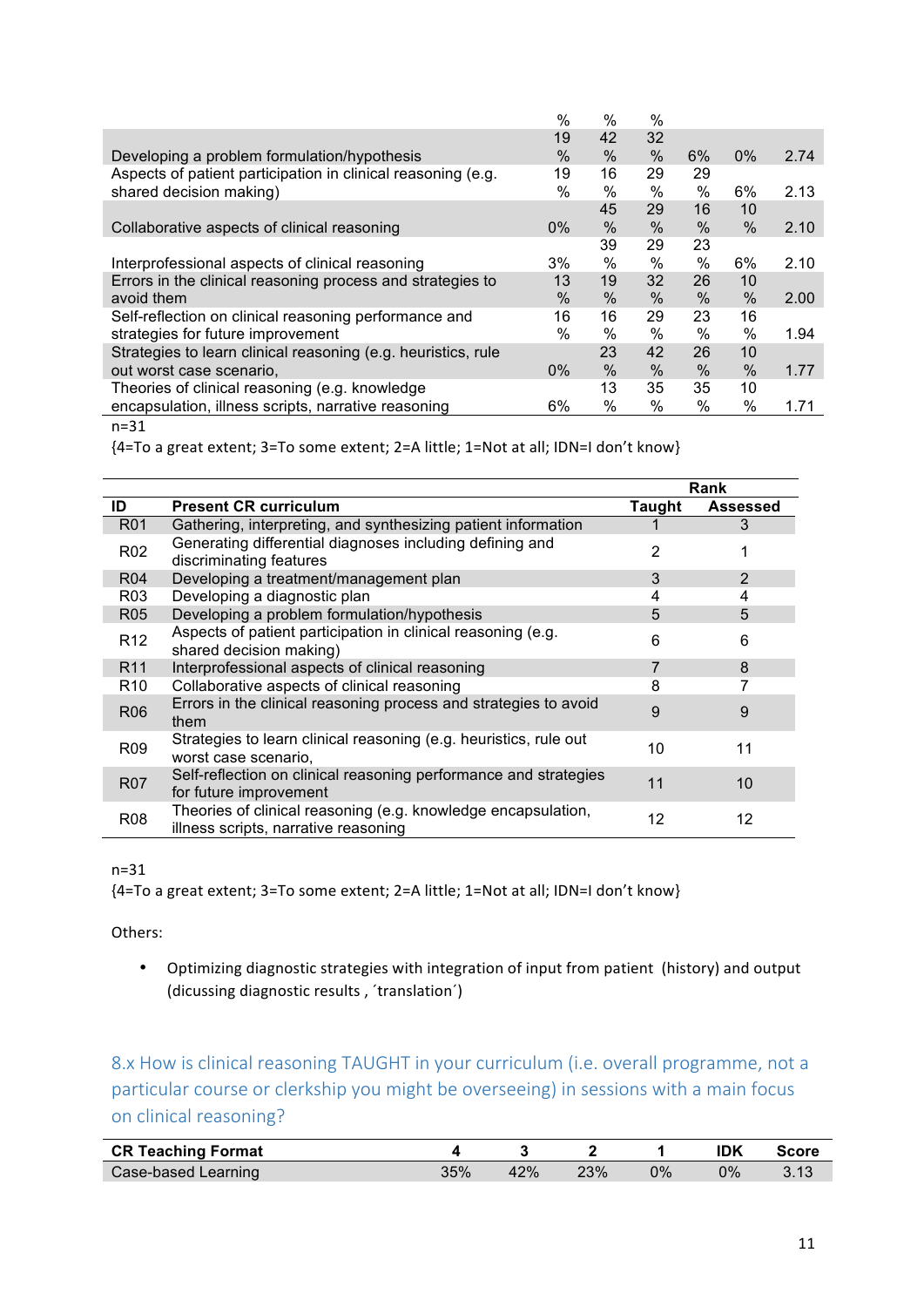|                                                               | $\%$          | %    | $\%$ |      |       |      |
|---------------------------------------------------------------|---------------|------|------|------|-------|------|
|                                                               | 19            | 42   | 32   |      |       |      |
| Developing a problem formulation/hypothesis                   | %             | $\%$ | $\%$ | 6%   | $0\%$ | 2.74 |
| Aspects of patient participation in clinical reasoning (e.g.  | 19            | 16   | 29   | 29   |       |      |
| shared decision making)                                       | $\%$          | $\%$ | $\%$ | $\%$ | 6%    | 2.13 |
|                                                               |               | 45   | 29   | 16   | 10    |      |
| Collaborative aspects of clinical reasoning                   | $0\%$         | %    | $\%$ | $\%$ | $\%$  | 2.10 |
|                                                               |               | 39   | 29   | 23   |       |      |
| Interprofessional aspects of clinical reasoning               | 3%            | %    | $\%$ | $\%$ | 6%    | 2.10 |
| Errors in the clinical reasoning process and strategies to    | 13            | 19   | 32   | 26   | 10    |      |
| avoid them                                                    | $\frac{0}{0}$ | $\%$ | $\%$ | %    | $\%$  | 2.00 |
| Self-reflection on clinical reasoning performance and         | 16            | 16   | 29   | 23   | 16    |      |
| strategies for future improvement                             | $\frac{0}{0}$ | $\%$ | $\%$ | $\%$ | %     | 1.94 |
| Strategies to learn clinical reasoning (e.g. heuristics, rule |               | 23   | 42   | 26   | 10    |      |
| out worst case scenario,                                      | $0\%$         | $\%$ | $\%$ | $\%$ | $\%$  | 1.77 |
| Theories of clinical reasoning (e.g. knowledge                |               | 13   | 35   | 35   | 10    |      |
| encapsulation, illness scripts, narrative reasoning           | 6%            | $\%$ | $\%$ | $\%$ | %     | 1.71 |

n=31

{4=To a great extent; 3=To some extent; 2=A little; 1=Not at all; IDN=I don't know}

|                 |                                                                                                       |        | Rank            |
|-----------------|-------------------------------------------------------------------------------------------------------|--------|-----------------|
| ID              | <b>Present CR curriculum</b>                                                                          | Taught | <b>Assessed</b> |
| <b>R01</b>      | Gathering, interpreting, and synthesizing patient information                                         |        | 3               |
| R <sub>02</sub> | Generating differential diagnoses including defining and<br>discriminating features                   | 2      |                 |
| <b>R04</b>      | Developing a treatment/management plan                                                                | 3      | 2               |
| R03             | Developing a diagnostic plan                                                                          | 4      | 4               |
| R <sub>05</sub> | Developing a problem formulation/hypothesis                                                           | 5      | 5               |
| R <sub>12</sub> | Aspects of patient participation in clinical reasoning (e.g.<br>shared decision making)               | 6      | 6               |
| R <sub>11</sub> | Interprofessional aspects of clinical reasoning                                                       | 7      | 8               |
| R10             | Collaborative aspects of clinical reasoning                                                           | 8      |                 |
| <b>R06</b>      | Errors in the clinical reasoning process and strategies to avoid<br>them                              | 9      | 9               |
| R <sub>09</sub> | Strategies to learn clinical reasoning (e.g. heuristics, rule out<br>worst case scenario,             | 10     | 11              |
| <b>R07</b>      | Self-reflection on clinical reasoning performance and strategies<br>for future improvement            | 11     | 10 <sup>°</sup> |
| R <sub>08</sub> | Theories of clinical reasoning (e.g. knowledge encapsulation,<br>illness scripts, narrative reasoning | 12     | 12              |

#### n=31

{4=To a great extent; 3=To some extent; 2=A little; 1=Not at all; IDN=I don't know}

Others:

• Optimizing diagnostic strategies with integration of input from patient (history) and output (dicussing diagnostic results, 'translation')

8.x How is clinical reasoning TAUGHT in your curriculum (i.e. overall programme, not a particular course or clerkship you might be overseeing) in sessions with a main focus on clinical reasoning?

| <b>CR Teaching Format</b> |     |     |     |    | IDK   | <b>Score</b> |
|---------------------------|-----|-----|-----|----|-------|--------------|
| Case-based Learning       | 35% | 42% | 23% | 0% | $0\%$ |              |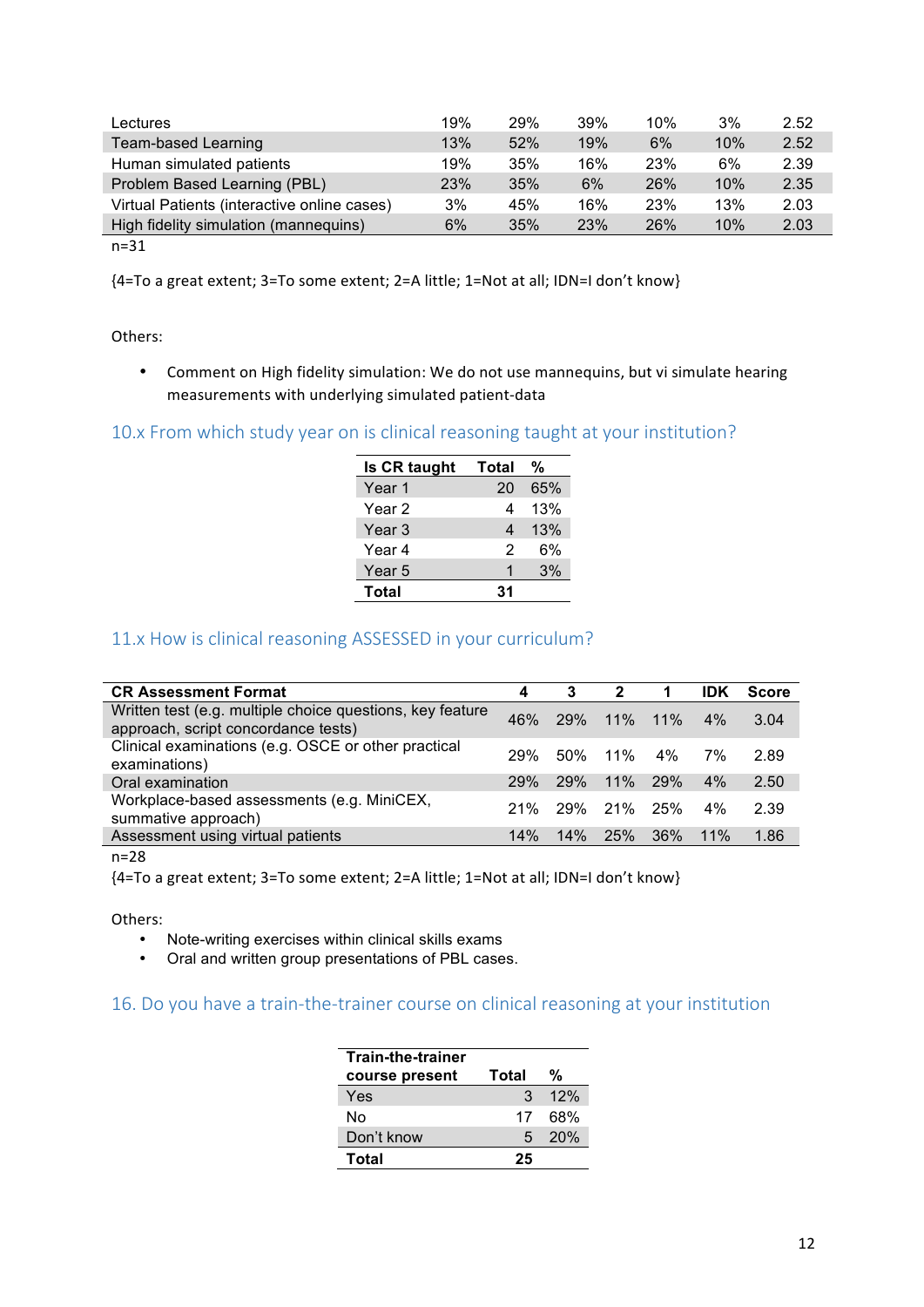| Lectures                                    | 19% | 29% | 39% | 10% | 3%  | 2.52 |
|---------------------------------------------|-----|-----|-----|-----|-----|------|
| Team-based Learning                         | 13% | 52% | 19% | 6%  | 10% | 2.52 |
| Human simulated patients                    | 19% | 35% | 16% | 23% | 6%  | 2.39 |
| Problem Based Learning (PBL)                | 23% | 35% | 6%  | 26% | 10% | 2.35 |
| Virtual Patients (interactive online cases) | 3%  | 45% | 16% | 23% | 13% | 2.03 |
| High fidelity simulation (mannequins)       | 6%  | 35% | 23% | 26% | 10% | 2.03 |
| $\sim$ $\sim$                               |     |     |     |     |     |      |

n=31

{4=To a great extent; 3=To some extent; 2=A little; 1=Not at all; IDN=I don't know}

Others:

• Comment on High fidelity simulation: We do not use mannequins, but vi simulate hearing measurements with underlying simulated patient-data

#### 10.x From which study year on is clinical reasoning taught at your institution?

| Is CR taught | <b>Total</b> | %   |
|--------------|--------------|-----|
| Year 1       | 20           | 65% |
| Year 2       | 4            | 13% |
| Year 3       | 4            | 13% |
| Year 4       | 2            | 6%  |
| Year 5       | 1            | 3%  |
| Total        | 31           |     |

#### 11.x How is clinical reasoning ASSESSED in your curriculum?

| <b>CR Assessment Format</b>                                                                      |            | 3          | 2           |     | IDK | <b>Score</b> |
|--------------------------------------------------------------------------------------------------|------------|------------|-------------|-----|-----|--------------|
| Written test (e.g. multiple choice questions, key feature<br>approach, script concordance tests) | 46%        |            | 29% 11% 11% |     | 4%  | 3.04         |
| Clinical examinations (e.g. OSCE or other practical<br>examinations)                             | <b>29%</b> |            | 50% 11% 4%  |     | 7%  | 2.89         |
| Oral examination                                                                                 | <b>29%</b> | <b>29%</b> | $11\%$ 29%  |     | 4%  | 2.50         |
| Workplace-based assessments (e.g. MiniCEX,<br>summative approach)                                | 21%        |            | 29% 21% 25% |     | 4%  | 2.39         |
| Assessment using virtual patients                                                                | 14%        | 14%        | <b>25%</b>  | 36% | 11% | 1.86         |

n=28

{4=To a great extent; 3=To some extent; 2=A little; 1=Not at all; IDN=I don't know}

Others:

- Note-writing exercises within clinical skills exams
- Oral and written group presentations of PBL cases.

#### 16. Do you have a train-the-trainer course on clinical reasoning at your institution

| <b>Train-the-trainer</b> |       |     |
|--------------------------|-------|-----|
| course present           | Total | %   |
| Yes                      | 3     | 12% |
| N٥                       | 17    | 68% |
| Don't know               | 5     | 20% |
| Total                    | 25    |     |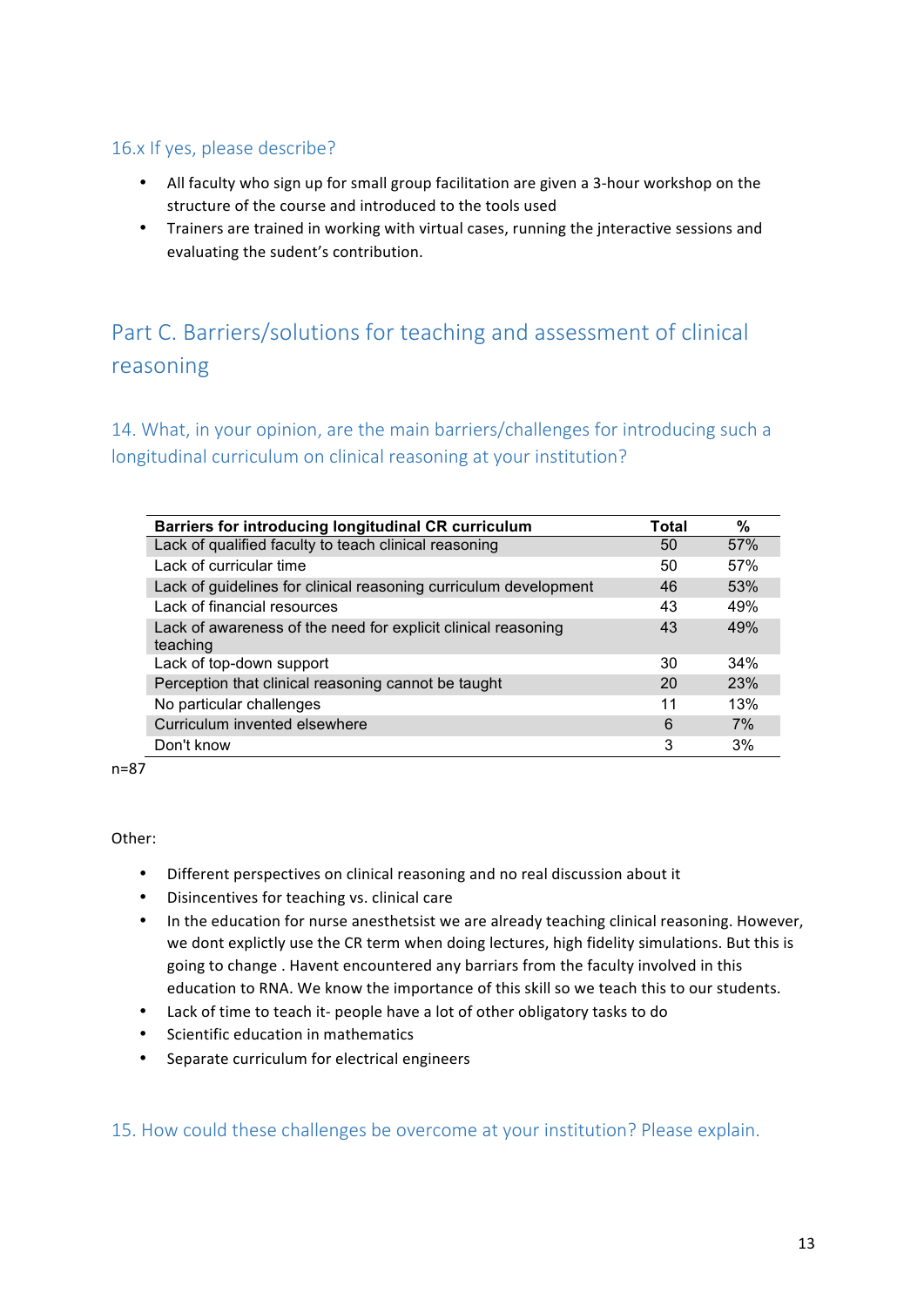### 16.x If yes, please describe?

- All faculty who sign up for small group facilitation are given a 3-hour workshop on the structure of the course and introduced to the tools used
- Trainers are trained in working with virtual cases, running the interactive sessions and evaluating the sudent's contribution.

# Part C. Barriers/solutions for teaching and assessment of clinical reasoning

14. What, in your opinion, are the main barriers/challenges for introducing such a longitudinal curriculum on clinical reasoning at your institution?

| Barriers for introducing longitudinal CR curriculum                       | Total | $\%$ |
|---------------------------------------------------------------------------|-------|------|
| Lack of qualified faculty to teach clinical reasoning                     | 50    | 57%  |
| Lack of curricular time                                                   | 50    | 57%  |
| Lack of guidelines for clinical reasoning curriculum development          | 46    | 53%  |
| Lack of financial resources                                               | 43    | 49%  |
| Lack of awareness of the need for explicit clinical reasoning<br>teaching | 43    | 49%  |
| Lack of top-down support                                                  | 30    | 34%  |
| Perception that clinical reasoning cannot be taught                       | 20    | 23%  |
| No particular challenges                                                  | 11    | 13%  |
| Curriculum invented elsewhere                                             | 6     | 7%   |
| Don't know                                                                | 3     | 3%   |

n=87

#### Other:

- Different perspectives on clinical reasoning and no real discussion about it
- Disincentives for teaching vs. clinical care
- In the education for nurse anesthetsist we are already teaching clinical reasoning. However, we dont explictly use the CR term when doing lectures, high fidelity simulations. But this is going to change. Havent encountered any barriars from the faculty involved in this education to RNA. We know the importance of this skill so we teach this to our students.
- Lack of time to teach it- people have a lot of other obligatory tasks to do
- Scientific education in mathematics
- Separate curriculum for electrical engineers

15. How could these challenges be overcome at your institution? Please explain.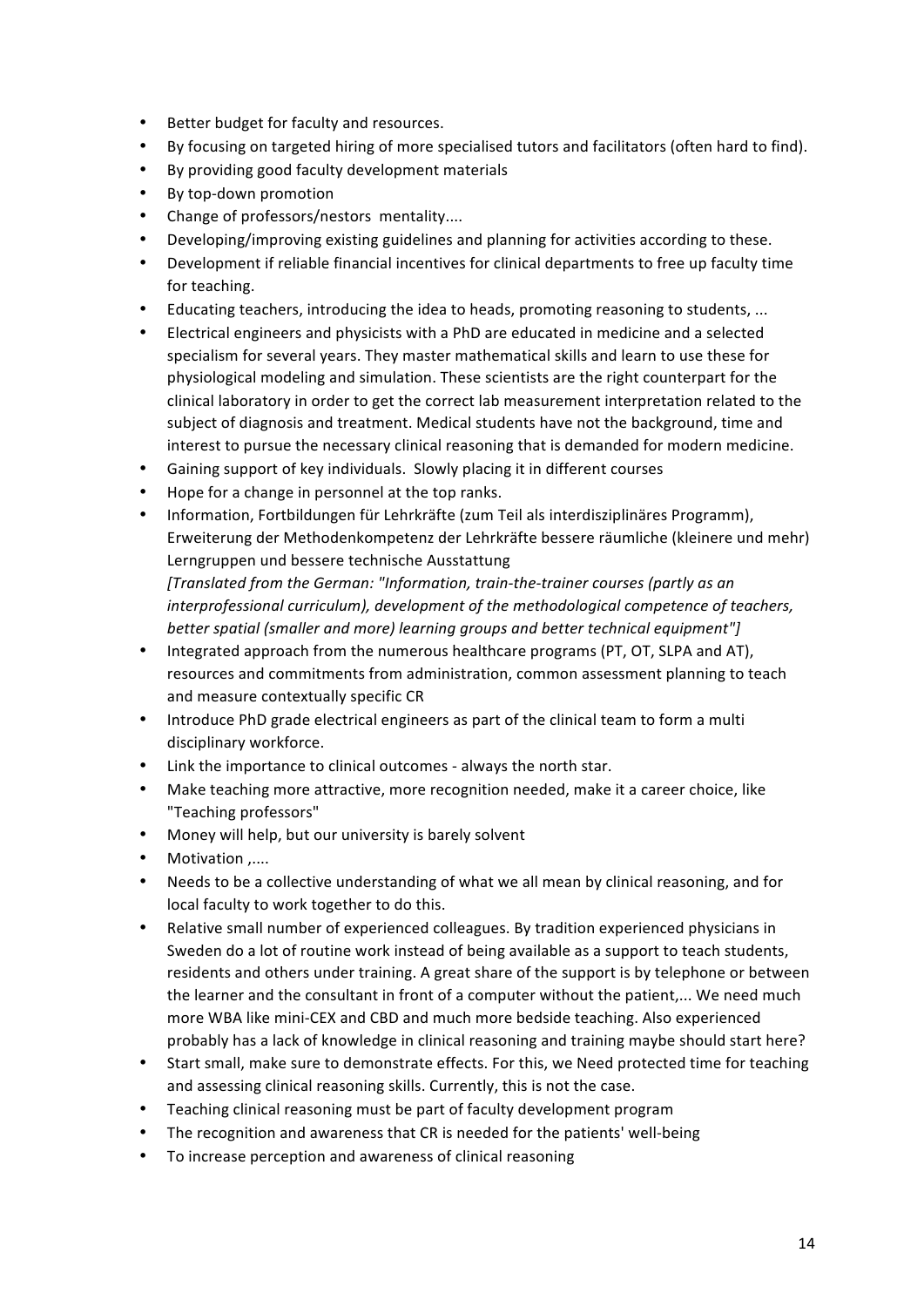- Better budget for faculty and resources.
- By focusing on targeted hiring of more specialised tutors and facilitators (often hard to find).
- By providing good faculty development materials
- By top-down promotion
- Change of professors/nestors mentality....
- Developing/improving existing guidelines and planning for activities according to these.
- Development if reliable financial incentives for clinical departments to free up faculty time for teaching.
- Educating teachers, introducing the idea to heads, promoting reasoning to students, ...
- Electrical engineers and physicists with a PhD are educated in medicine and a selected specialism for several years. They master mathematical skills and learn to use these for physiological modeling and simulation. These scientists are the right counterpart for the clinical laboratory in order to get the correct lab measurement interpretation related to the subject of diagnosis and treatment. Medical students have not the background, time and interest to pursue the necessary clinical reasoning that is demanded for modern medicine.
- Gaining support of key individuals. Slowly placing it in different courses
- Hope for a change in personnel at the top ranks.
- Information, Fortbildungen für Lehrkräfte (zum Teil als interdisziplinäres Programm), Erweiterung der Methodenkompetenz der Lehrkräfte bessere räumliche (kleinere und mehr) Lerngruppen und bessere technische Ausstattung *[Translated from the German: "Information, train-the-trainer courses (partly as an*

interprofessional curriculum), development of the methodological competence of teachers, *better spatial (smaller and more) learning groups and better technical equipment"]* 

- Integrated approach from the numerous healthcare programs (PT, OT, SLPA and AT), resources and commitments from administration, common assessment planning to teach and measure contextually specific CR
- Introduce PhD grade electrical engineers as part of the clinical team to form a multi disciplinary workforce.
- Link the importance to clinical outcomes always the north star.
- Make teaching more attractive, more recognition needed, make it a career choice, like "Teaching professors"
- Money will help, but our university is barely solvent
- Motivation .....
- Needs to be a collective understanding of what we all mean by clinical reasoning, and for local faculty to work together to do this.
- Relative small number of experienced colleagues. By tradition experienced physicians in Sweden do a lot of routine work instead of being available as a support to teach students, residents and others under training. A great share of the support is by telephone or between the learner and the consultant in front of a computer without the patient,... We need much more WBA like mini-CEX and CBD and much more bedside teaching. Also experienced probably has a lack of knowledge in clinical reasoning and training maybe should start here?
- Start small, make sure to demonstrate effects. For this, we Need protected time for teaching and assessing clinical reasoning skills. Currently, this is not the case.
- Teaching clinical reasoning must be part of faculty development program
- The recognition and awareness that CR is needed for the patients' well-being
- To increase perception and awareness of clinical reasoning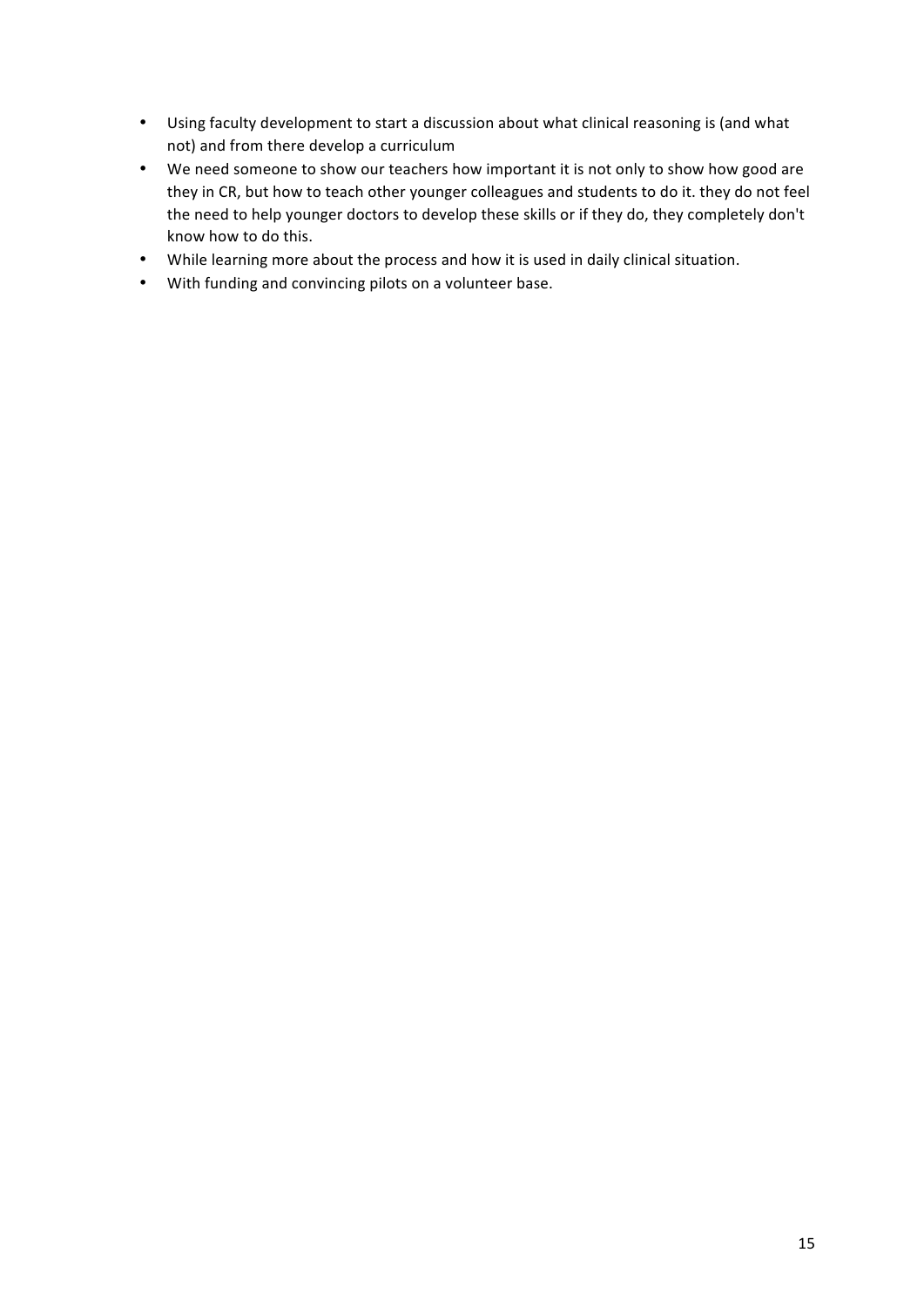- Using faculty development to start a discussion about what clinical reasoning is (and what not) and from there develop a curriculum
- We need someone to show our teachers how important it is not only to show how good are they in CR, but how to teach other younger colleagues and students to do it. they do not feel the need to help younger doctors to develop these skills or if they do, they completely don't know how to do this.
- While learning more about the process and how it is used in daily clinical situation.
- With funding and convincing pilots on a volunteer base.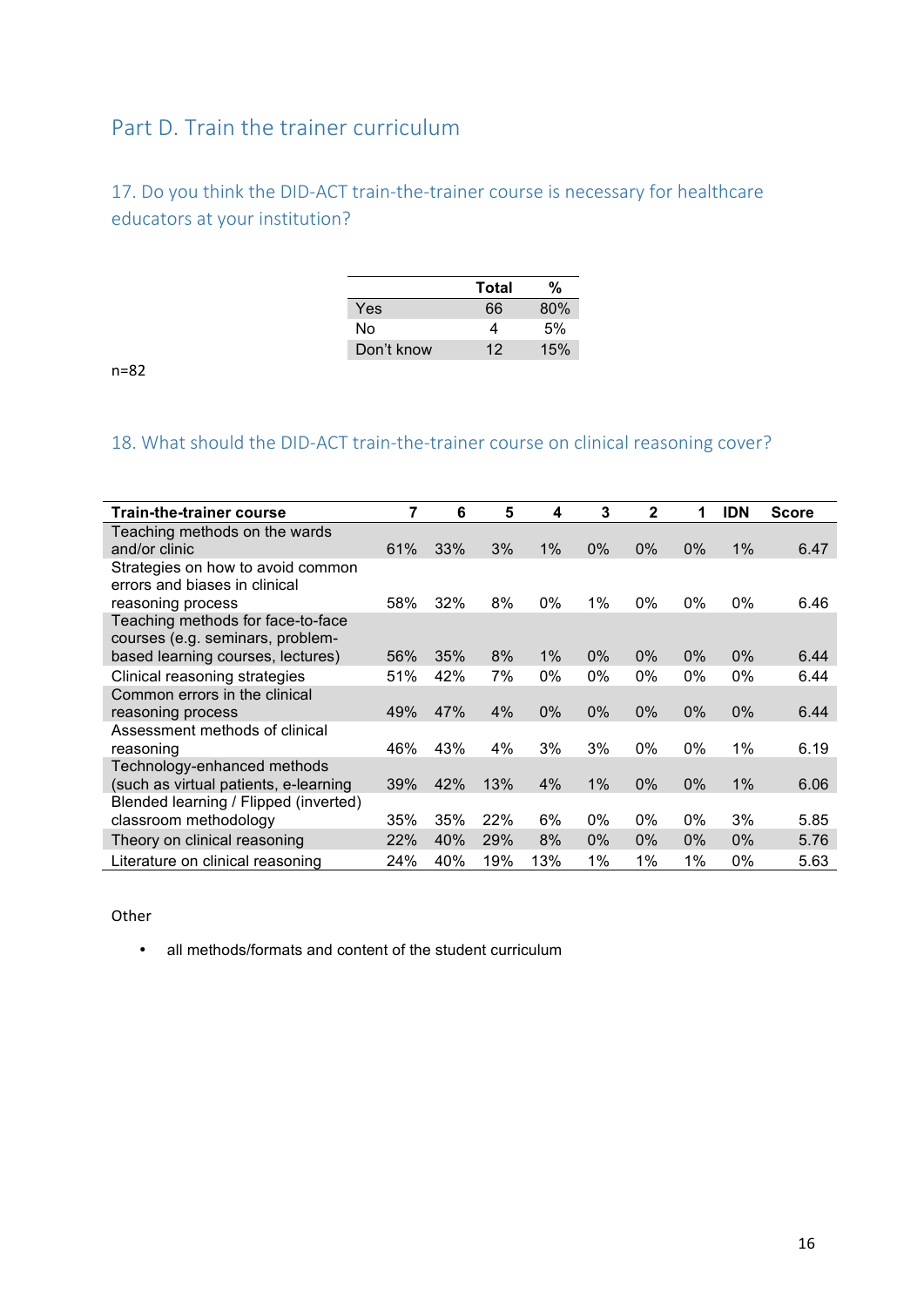## Part D. Train the trainer curriculum

## 17. Do you think the DID-ACT train-the-trainer course is necessary for healthcare educators at your institution?

|            | Total | %   |
|------------|-------|-----|
| Yes        | 66    | 80% |
| N٥         | 4     | .5% |
| Don't know | 12    | 15% |

n=82

## 18. What should the DID-ACT train-the-trainer course on clinical reasoning cover?

| <b>Train-the-trainer course</b>                                       | 7   | 6   | 5   | 4     | 3     | $\mathbf{2}$ | $\blacktriangleleft$ | <b>IDN</b> | <b>Score</b> |
|-----------------------------------------------------------------------|-----|-----|-----|-------|-------|--------------|----------------------|------------|--------------|
| Teaching methods on the wards<br>and/or clinic                        | 61% | 33% | 3%  | 1%    | 0%    | $0\%$        | $0\%$                | 1%         | 6.47         |
| Strategies on how to avoid common<br>errors and biases in clinical    |     |     |     |       |       |              |                      |            |              |
| reasoning process                                                     | 58% | 32% | 8%  | $0\%$ | $1\%$ | $0\%$        | $0\%$                | $0\%$      | 6.46         |
| Teaching methods for face-to-face<br>courses (e.g. seminars, problem- |     |     |     |       |       |              |                      |            |              |
| based learning courses, lectures)                                     | 56% | 35% | 8%  | 1%    | $0\%$ | $0\%$        | $0\%$                | $0\%$      | 6.44         |
| Clinical reasoning strategies                                         | 51% | 42% | 7%  | 0%    | 0%    | 0%           | 0%                   | $0\%$      | 6.44         |
| Common errors in the clinical                                         |     |     |     |       |       |              |                      |            |              |
| reasoning process                                                     | 49% | 47% | 4%  | $0\%$ | 0%    | $0\%$        | $0\%$                | $0\%$      | 6.44         |
| Assessment methods of clinical                                        |     |     |     |       |       |              |                      |            |              |
| reasoning                                                             | 46% | 43% | 4%  | 3%    | 3%    | $0\%$        | $0\%$                | $1\%$      | 6.19         |
| Technology-enhanced methods                                           |     |     |     |       |       |              |                      |            |              |
| (such as virtual patients, e-learning                                 | 39% | 42% | 13% | 4%    | 1%    | $0\%$        | $0\%$                | 1%         | 6.06         |
| Blended learning / Flipped (inverted)                                 |     |     |     |       |       |              |                      |            |              |
| classroom methodology                                                 | 35% | 35% | 22% | 6%    | 0%    | $0\%$        | 0%                   | 3%         | 5.85         |
| Theory on clinical reasoning                                          | 22% | 40% | 29% | 8%    | $0\%$ | $0\%$        | $0\%$                | $0\%$      | 5.76         |
| Literature on clinical reasoning                                      | 24% | 40% | 19% | 13%   | 1%    | 1%           | 1%                   | $0\%$      | 5.63         |

#### **Other**

• all methods/formats and content of the student curriculum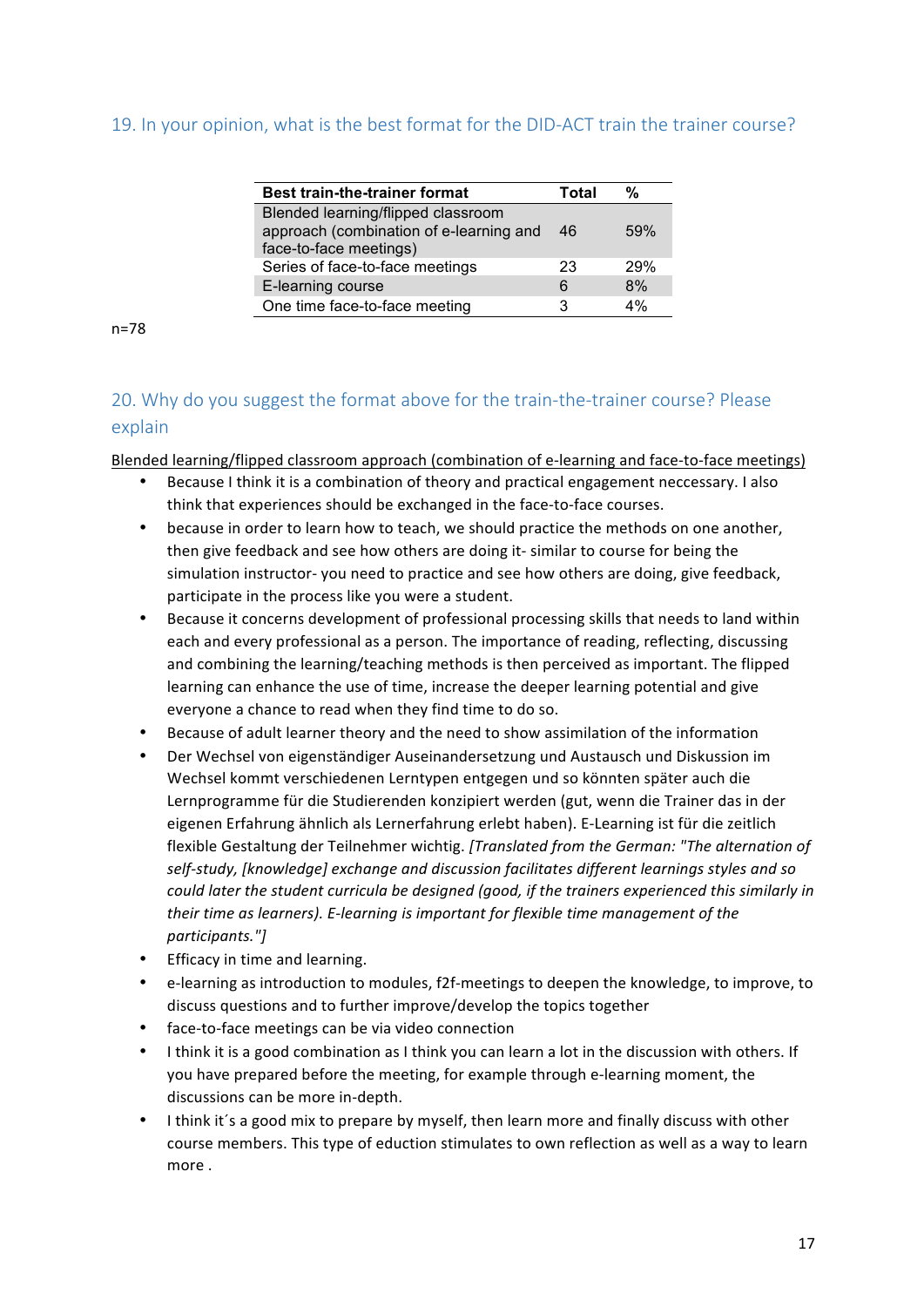### 19. In your opinion, what is the best format for the DID-ACT train the trainer course?

| <b>Best train-the-trainer format</b>    | Total | %          |
|-----------------------------------------|-------|------------|
| Blended learning/flipped classroom      |       |            |
| approach (combination of e-learning and | 46    | 59%        |
| face-to-face meetings)                  |       |            |
| Series of face-to-face meetings         | 23    | <b>29%</b> |
| E-learning course                       | 6     | 8%         |
| One time face-to-face meeting           | з     | 4%         |

n=78

## 20. Why do you suggest the format above for the train-the-trainer course? Please explain

Blended learning/flipped classroom approach (combination of e-learning and face-to-face meetings)

- Because I think it is a combination of theory and practical engagement neccessary. I also think that experiences should be exchanged in the face-to-face courses.
- because in order to learn how to teach, we should practice the methods on one another, then give feedback and see how others are doing it- similar to course for being the simulation instructor- you need to practice and see how others are doing, give feedback, participate in the process like you were a student.
- Because it concerns development of professional processing skills that needs to land within each and every professional as a person. The importance of reading, reflecting, discussing and combining the learning/teaching methods is then perceived as important. The flipped learning can enhance the use of time, increase the deeper learning potential and give everyone a chance to read when they find time to do so.
- Because of adult learner theory and the need to show assimilation of the information
- Der Wechsel von eigenständiger Auseinandersetzung und Austausch und Diskussion im Wechsel kommt verschiedenen Lerntypen entgegen und so könnten später auch die Lernprogramme für die Studierenden konzipiert werden (gut, wenn die Trainer das in der eigenen Erfahrung ähnlich als Lernerfahrung erlebt haben). E-Learning ist für die zeitlich flexible Gestaltung der Teilnehmer wichtig. [Translated from the German: "The alternation of self-study, [knowledge] exchange and discussion facilitates different learnings styles and so could later the student curricula be designed (good, if the trainers experienced this similarly in *their time as learners).* E-learning is important for flexible time management of the *participants."]*
- Efficacy in time and learning.
- e-learning as introduction to modules, f2f-meetings to deepen the knowledge, to improve, to discuss questions and to further improve/develop the topics together
- face-to-face meetings can be via video connection
- I think it is a good combination as I think you can learn a lot in the discussion with others. If you have prepared before the meeting, for example through e-learning moment, the discussions can be more in-depth.
- I think it's a good mix to prepare by myself, then learn more and finally discuss with other course members. This type of eduction stimulates to own reflection as well as a way to learn more.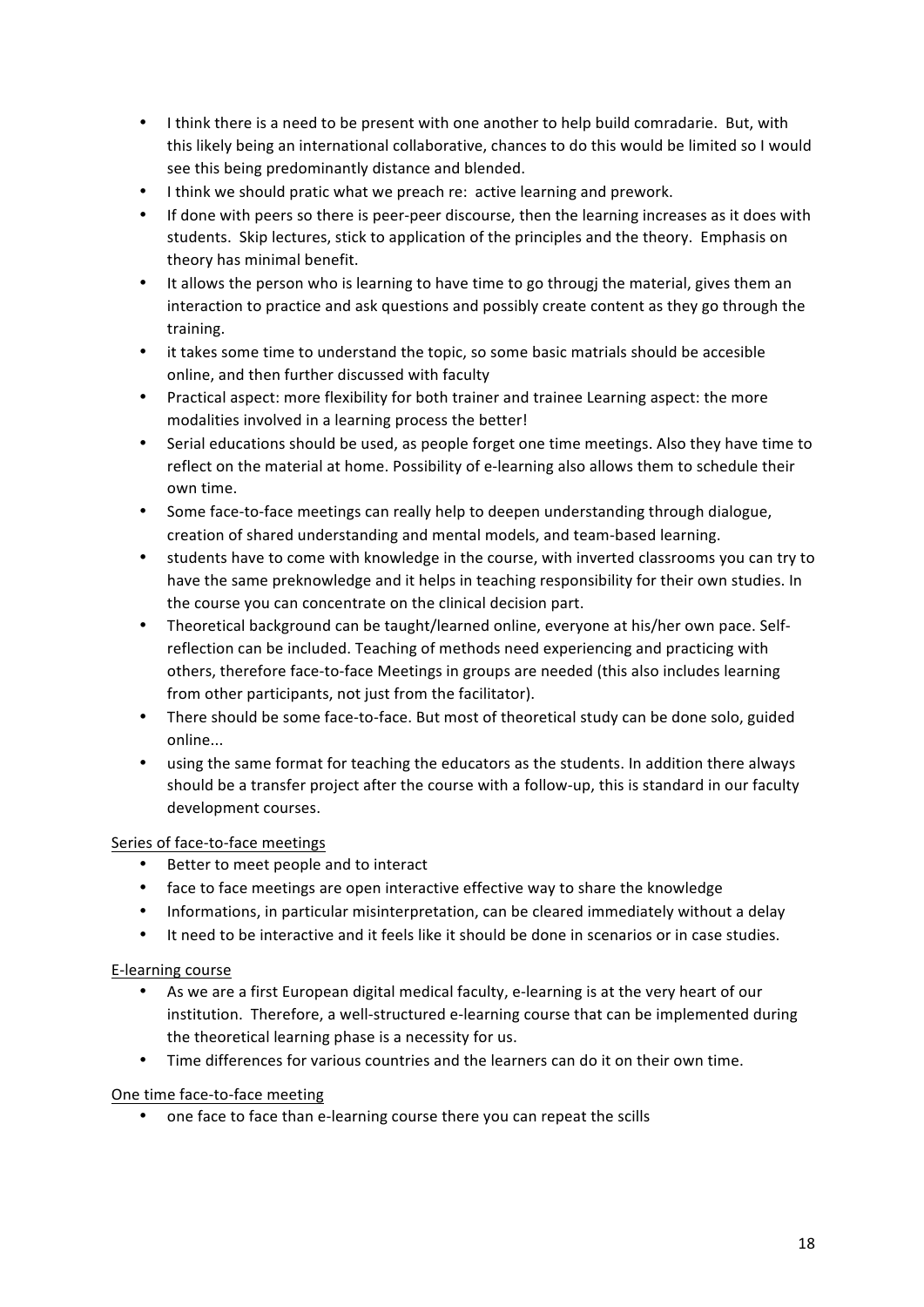- I think there is a need to be present with one another to help build comradarie. But, with this likely being an international collaborative, chances to do this would be limited so I would see this being predominantly distance and blended.
- I think we should pratic what we preach re: active learning and prework.
- If done with peers so there is peer-peer discourse, then the learning increases as it does with students. Skip lectures, stick to application of the principles and the theory. Emphasis on theory has minimal benefit.
- It allows the person who is learning to have time to go througj the material, gives them an interaction to practice and ask questions and possibly create content as they go through the training.
- it takes some time to understand the topic, so some basic matrials should be accesible online, and then further discussed with faculty
- Practical aspect: more flexibility for both trainer and trainee Learning aspect: the more modalities involved in a learning process the better!
- Serial educations should be used, as people forget one time meetings. Also they have time to reflect on the material at home. Possibility of e-learning also allows them to schedule their own time.
- Some face-to-face meetings can really help to deepen understanding through dialogue, creation of shared understanding and mental models, and team-based learning.
- students have to come with knowledge in the course, with inverted classrooms you can try to have the same preknowledge and it helps in teaching responsibility for their own studies. In the course you can concentrate on the clinical decision part.
- Theoretical background can be taught/learned online, everyone at his/her own pace. Selfreflection can be included. Teaching of methods need experiencing and practicing with others, therefore face-to-face Meetings in groups are needed (this also includes learning from other participants, not just from the facilitator).
- There should be some face-to-face. But most of theoretical study can be done solo, guided online...
- using the same format for teaching the educators as the students. In addition there always should be a transfer project after the course with a follow-up, this is standard in our faculty development courses.

#### Series of face-to-face meetings

- Better to meet people and to interact
- face to face meetings are open interactive effective way to share the knowledge
- Informations, in particular misinterpretation, can be cleared immediately without a delay
- It need to be interactive and it feels like it should be done in scenarios or in case studies.

#### E-learning course

- As we are a first European digital medical faculty, e-learning is at the very heart of our institution. Therefore, a well-structured e-learning course that can be implemented during the theoretical learning phase is a necessity for us.
- Time differences for various countries and the learners can do it on their own time.

#### One time face-to-face meeting

• one face to face than e-learning course there you can repeat the scills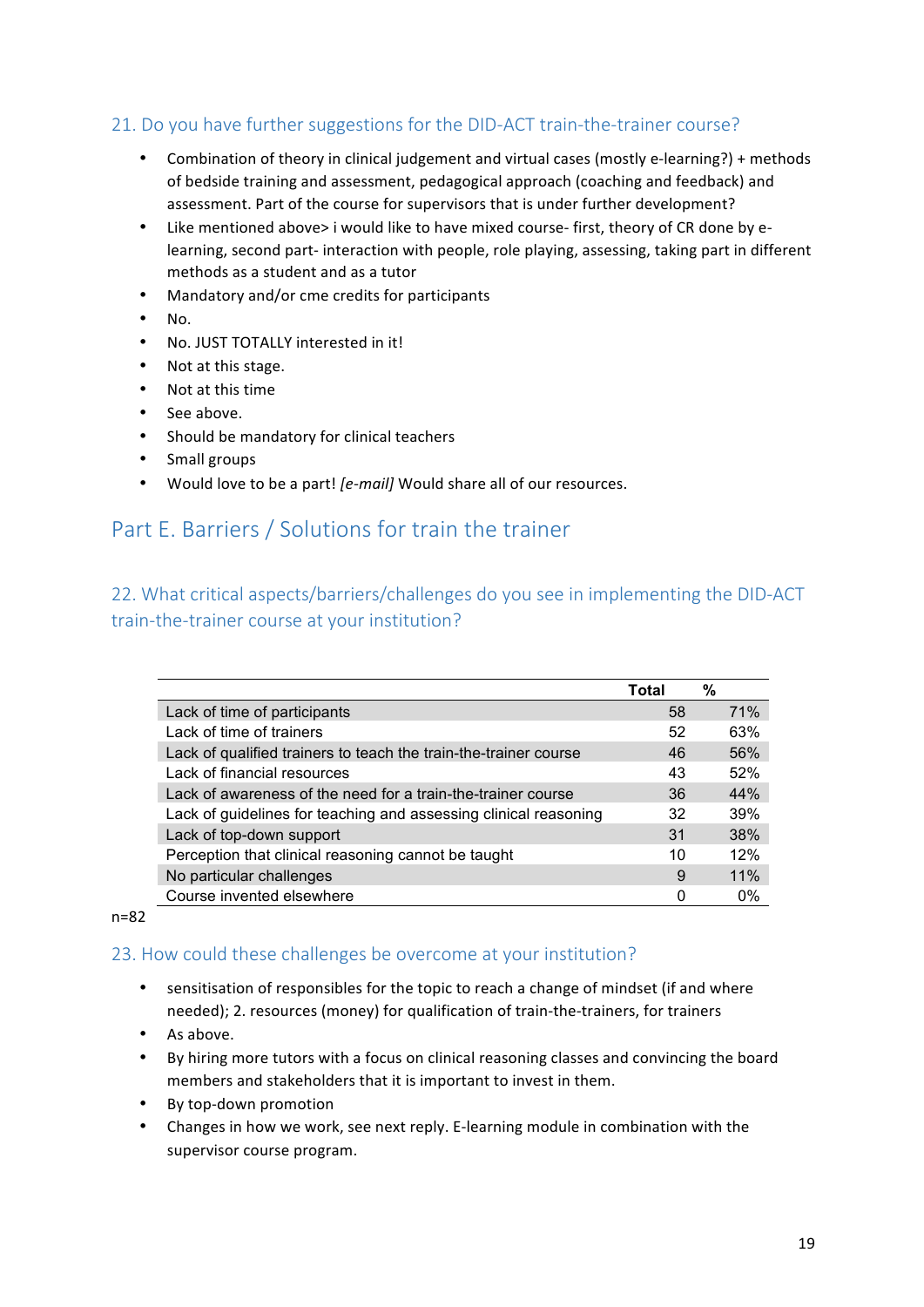## 21. Do you have further suggestions for the DID-ACT train-the-trainer course?

- Combination of theory in clinical judgement and virtual cases (mostly e-learning?) + methods of bedside training and assessment, pedagogical approach (coaching and feedback) and assessment. Part of the course for supervisors that is under further development?
- Like mentioned above> i would like to have mixed course- first, theory of CR done by elearning, second part- interaction with people, role playing, assessing, taking part in different methods as a student and as a tutor
- Mandatory and/or cme credits for participants
- No.
- No. JUST TOTALLY interested in it!
- Not at this stage.
- Not at this time
- See above.
- Should be mandatory for clinical teachers
- Small groups
- Would love to be a part! [e-mail] Would share all of our resources.

## Part E. Barriers / Solutions for train the trainer

## 22. What critical aspects/barriers/challenges do you see in implementing the DID-ACT train-the-trainer course at your institution?

|                                                                  | Total | %          |
|------------------------------------------------------------------|-------|------------|
| Lack of time of participants                                     | 58    | <b>71%</b> |
| Lack of time of trainers                                         | 52    | 63%        |
| Lack of qualified trainers to teach the train-the-trainer course | 46    | 56%        |
| Lack of financial resources                                      | 43    | 52%        |
| Lack of awareness of the need for a train-the-trainer course     | 36    | 44%        |
| Lack of guidelines for teaching and assessing clinical reasoning | 32    | 39%        |
| Lack of top-down support                                         | 31    | 38%        |
| Perception that clinical reasoning cannot be taught              | 10    | 12%        |
| No particular challenges                                         | 9     | 11%        |
| Course invented elsewhere                                        | 0     | $0\%$      |

#### n=82

#### 23. How could these challenges be overcome at your institution?

- sensitisation of responsibles for the topic to reach a change of mindset (if and where needed); 2. resources (money) for qualification of train-the-trainers, for trainers
- As above.
- By hiring more tutors with a focus on clinical reasoning classes and convincing the board members and stakeholders that it is important to invest in them.
- By top-down promotion
- Changes in how we work, see next reply. E-learning module in combination with the supervisor course program.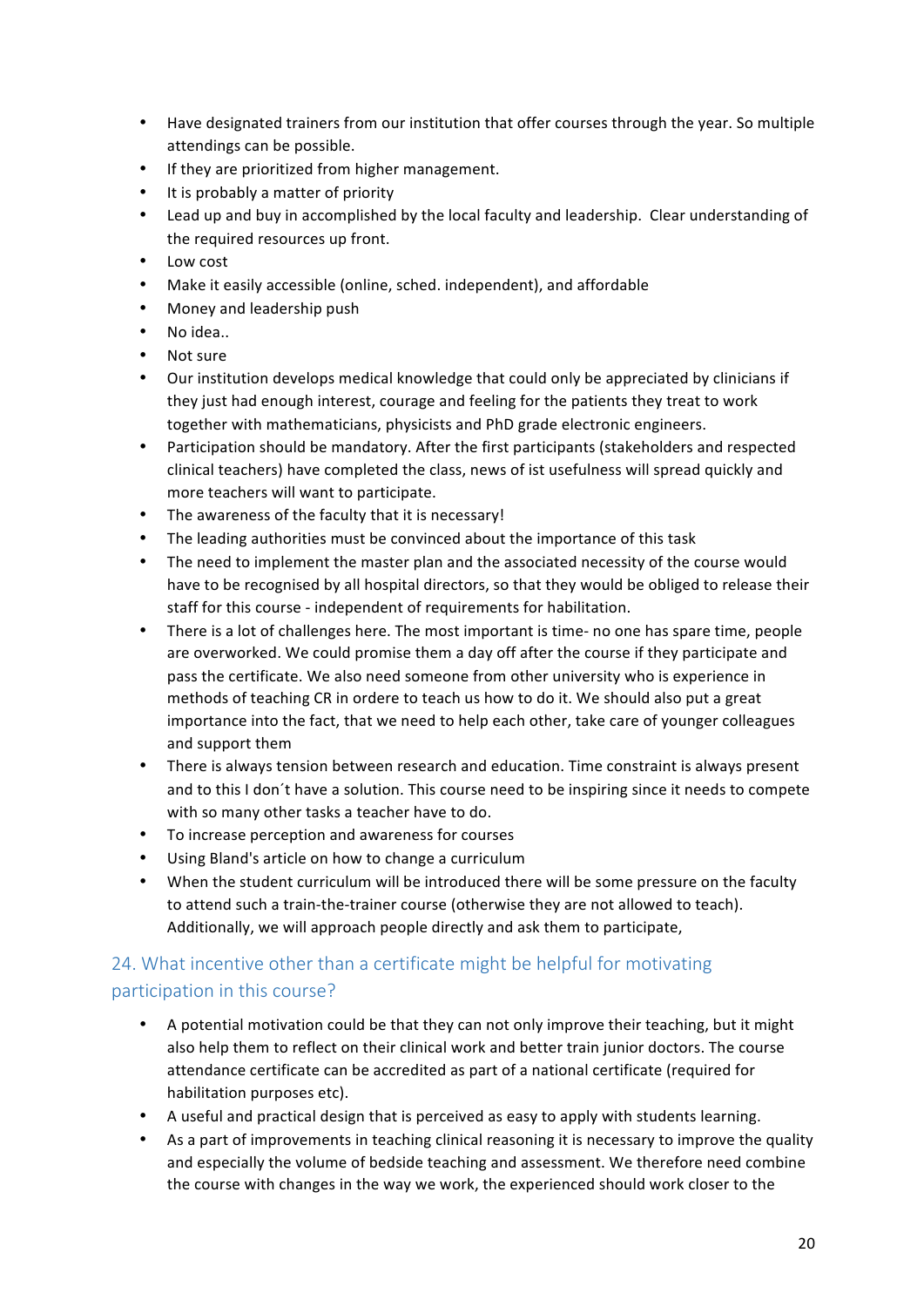- Have designated trainers from our institution that offer courses through the year. So multiple attendings can be possible.
- If they are prioritized from higher management.
- It is probably a matter of priority
- Lead up and buy in accomplished by the local faculty and leadership. Clear understanding of the required resources up front.
- Low cost
- Make it easily accessible (online, sched. independent), and affordable
- Money and leadership push
- No idea..
- Not sure
- Our institution develops medical knowledge that could only be appreciated by clinicians if they just had enough interest, courage and feeling for the patients they treat to work together with mathematicians, physicists and PhD grade electronic engineers.
- Participation should be mandatory. After the first participants (stakeholders and respected clinical teachers) have completed the class, news of ist usefulness will spread quickly and more teachers will want to participate.
- The awareness of the faculty that it is necessary!
- The leading authorities must be convinced about the importance of this task
- The need to implement the master plan and the associated necessity of the course would have to be recognised by all hospital directors, so that they would be obliged to release their staff for this course - independent of requirements for habilitation.
- There is a lot of challenges here. The most important is time- no one has spare time, people are overworked. We could promise them a day off after the course if they participate and pass the certificate. We also need someone from other university who is experience in methods of teaching CR in ordere to teach us how to do it. We should also put a great importance into the fact, that we need to help each other, take care of younger colleagues and support them
- There is always tension between research and education. Time constraint is always present and to this I don't have a solution. This course need to be inspiring since it needs to compete with so many other tasks a teacher have to do.
- To increase perception and awareness for courses
- Using Bland's article on how to change a curriculum
- When the student curriculum will be introduced there will be some pressure on the faculty to attend such a train-the-trainer course (otherwise they are not allowed to teach). Additionally, we will approach people directly and ask them to participate.

## 24. What incentive other than a certificate might be helpful for motivating participation in this course?

- A potential motivation could be that they can not only improve their teaching, but it might also help them to reflect on their clinical work and better train junior doctors. The course attendance certificate can be accredited as part of a national certificate (required for habilitation purposes etc).
- A useful and practical design that is perceived as easy to apply with students learning.
- As a part of improvements in teaching clinical reasoning it is necessary to improve the quality and especially the volume of bedside teaching and assessment. We therefore need combine the course with changes in the way we work, the experienced should work closer to the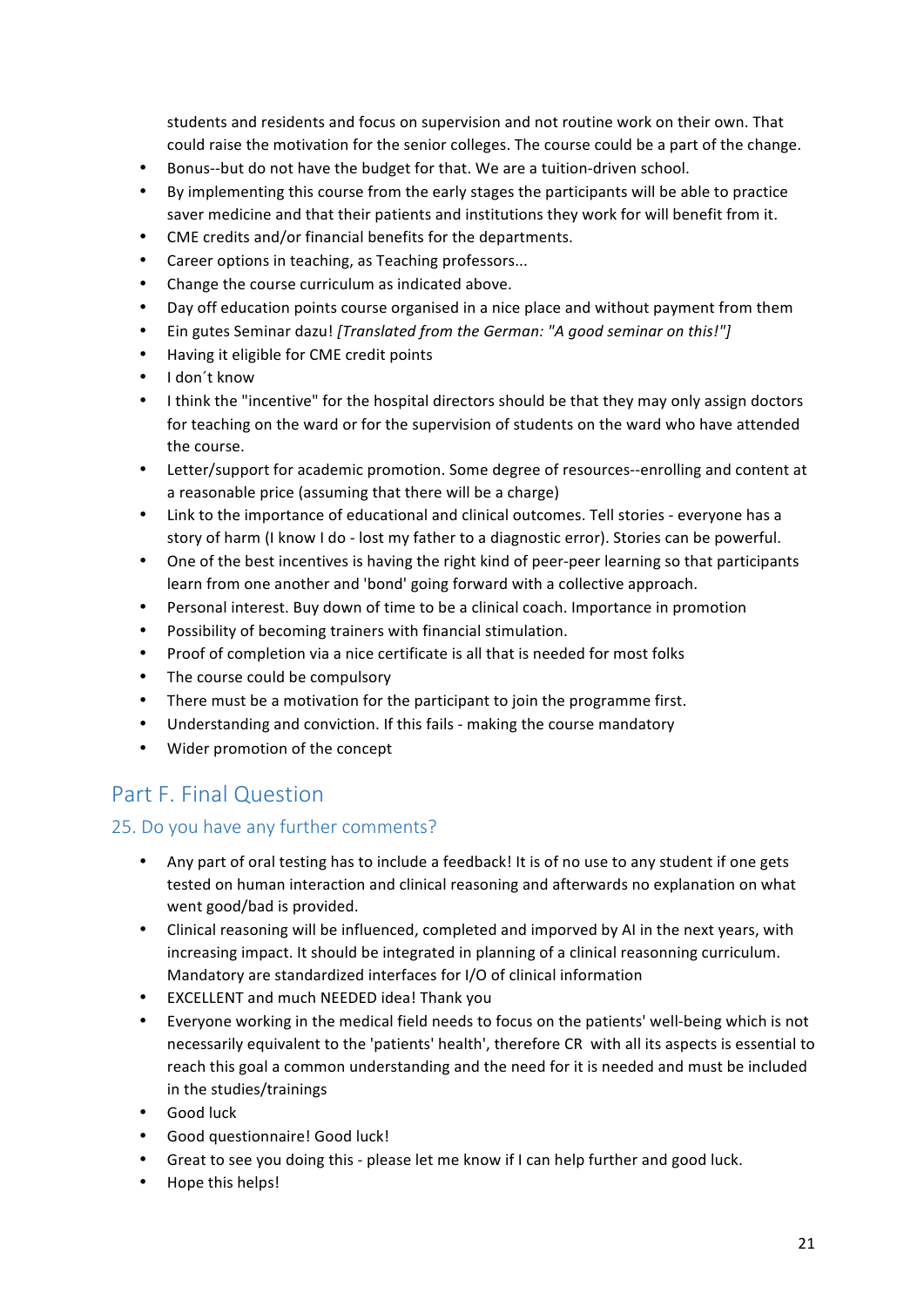students and residents and focus on supervision and not routine work on their own. That could raise the motivation for the senior colleges. The course could be a part of the change.

- Bonus--but do not have the budget for that. We are a tuition-driven school.
- By implementing this course from the early stages the participants will be able to practice saver medicine and that their patients and institutions they work for will benefit from it.
- CME credits and/or financial benefits for the departments.
- Career options in teaching, as Teaching professors...
- Change the course curriculum as indicated above.
- Day off education points course organised in a nice place and without payment from them
- Ein gutes Seminar dazu! *[Translated from the German: "A good seminar on this!"]*
- Having it eligible for CME credit points
- I don't know
- I think the "incentive" for the hospital directors should be that they may only assign doctors for teaching on the ward or for the supervision of students on the ward who have attended the course.
- Letter/support for academic promotion. Some degree of resources--enrolling and content at a reasonable price (assuming that there will be a charge)
- Link to the importance of educational and clinical outcomes. Tell stories everyone has a story of harm (I know I do - lost my father to a diagnostic error). Stories can be powerful.
- One of the best incentives is having the right kind of peer-peer learning so that participants learn from one another and 'bond' going forward with a collective approach.
- Personal interest. Buy down of time to be a clinical coach. Importance in promotion
- Possibility of becoming trainers with financial stimulation.
- Proof of completion via a nice certificate is all that is needed for most folks
- The course could be compulsory
- There must be a motivation for the participant to join the programme first.
- Understanding and conviction. If this fails making the course mandatory
- Wider promotion of the concept

## Part F. Final Question

## 25. Do you have any further comments?

- Any part of oral testing has to include a feedback! It is of no use to any student if one gets tested on human interaction and clinical reasoning and afterwards no explanation on what went good/bad is provided.
- Clinical reasoning will be influenced, completed and imporved by AI in the next years, with increasing impact. It should be integrated in planning of a clinical reasonning curriculum. Mandatory are standardized interfaces for I/O of clinical information
- EXCELLENT and much NEEDED idea! Thank you
- Everyone working in the medical field needs to focus on the patients' well-being which is not necessarily equivalent to the 'patients' health', therefore CR with all its aspects is essential to reach this goal a common understanding and the need for it is needed and must be included in the studies/trainings
- Good luck
- Good questionnaire! Good luck!
- Great to see you doing this please let me know if I can help further and good luck.
- Hope this helps!